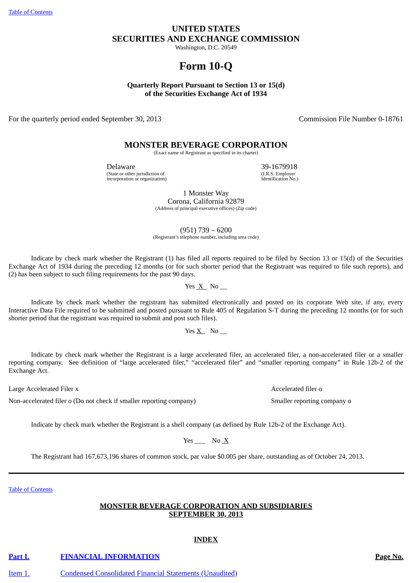Table of [Contents](#page-0-0)

## **UNITED STATES SECURITIES AND EXCHANGE COMMISSION**

Washington, D.C. 20549

# **Form 10-Q**

**Quarterly Report Pursuant to Section 13 or 15(d) of the Securities Exchange Act of 1934**

For the quarterly period ended September 30, 2013 Commission File Number 0-18761

**MONSTER BEVERAGE CORPORATION**

(Exact name of Registrant as specified in its charter)

Delaware 39-1679918<br>
State or other iurisdiction of the state of the state of the state of the state of the state of the state of the state of the state of the state of the state of the state of the state of the state of t (State or other jurisdiction of  $(1.R.S.$  Employer incorporation or organization)  $1$  extent of  $1$  extension  $[1.R.S.$  Employer  $1$  extension  $[1.R.S.]$ incorporation or organization)

1 Monster Way Corona, California 92879 (Address of principal executive offices) (Zip code)

(951) 739 – 6200 (Registrant's telephone number, including area code)

Indicate by check mark whether the Registrant (1) has filed all reports required to be filed by Section 13 or 15(d) of the Securities Exchange Act of 1934 during the preceding 12 months (or for such shorter period that the Registrant was required to file such reports), and (2) has been subject to such filing requirements for the past 90 days.

Yes  $X$  No  $-$ 

Indicate by check mark whether the registrant has submitted electronically and posted on its corporate Web site, if any, every Interactive Data File required to be submitted and posted pursuant to Rule 405 of Regulation S-T during the preceding 12 months (or for such shorter period that the registrant was required to submit and post such files).

Yes  $X$  No  $\blacksquare$ 

Indicate by check mark whether the Registrant is a large accelerated filer, an accelerated filer, a non-accelerated filer or a smaller reporting company. See definition of "large accelerated filer," "accelerated filer" and "smaller reporting company" in Rule 12b-2 of the Exchange Act.

Large Accelerated Filer x Accelerated Filer x Accelerated Filer of Accelerated filer of Accelerated Filer of Accelerated Filer of Accelerated Filer of Accelerated Filer of Accelerated Filer of Accelerated Filer of Accelera

Non-accelerated filer o (Do not check if smaller reporting company) Smaller reporting company o

Indicate by check mark whether the Registrant is a shell company (as defined by Rule 12b-2 of the Exchange Act).

Yes  $\_\_$  No  $\overline{X}$ 

The Registrant had 167,673,196 shares of common stock, par value \$0.005 per share, outstanding as of October 24, 2013.

Table of [Contents](#page-0-0)

## **MONSTER BEVERAGE CORPORATION AND SUBSIDIARIES SEPTEMBER 30, 2013**

## <span id="page-0-0"></span>**INDEX**

**[Part I.](#page-1-0) [FINANCIAL INFORMATION](#page-1-0) Page No.**

[Item 1.](#page-1-1) [Condensed Consolidated Financial Statements \(Unaudited\)](#page-1-1)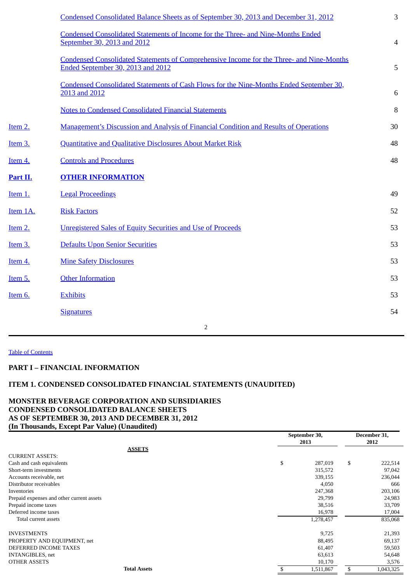|                | Condensed Consolidated Balance Sheets as of September 30, 2013 and December 31, 2012                                          | 3              |
|----------------|-------------------------------------------------------------------------------------------------------------------------------|----------------|
|                | <b>Condensed Consolidated Statements of Income for the Three- and Nine-Months Ended</b><br>September 30, 2013 and 2012        | $\overline{4}$ |
|                | Condensed Consolidated Statements of Comprehensive Income for the Three- and Nine-Months<br>Ended September 30, 2013 and 2012 | 5              |
|                | Condensed Consolidated Statements of Cash Flows for the Nine-Months Ended September 30,<br>2013 and 2012                      | 6              |
|                | <b>Notes to Condensed Consolidated Financial Statements</b>                                                                   | 8              |
| Item 2.        | <b>Management's Discussion and Analysis of Financial Condition and Results of Operations</b>                                  | 30             |
| <b>Item 3.</b> | Quantitative and Qualitative Disclosures About Market Risk                                                                    | 48             |
| Item 4.        | <b>Controls and Procedures</b>                                                                                                | 48             |
| Part II.       | <b>OTHER INFORMATION</b>                                                                                                      |                |
| Item 1.        | <b>Legal Proceedings</b>                                                                                                      | 49             |
| Item 1A.       | <b>Risk Factors</b>                                                                                                           | 52             |
| Item 2.        | <b>Unregistered Sales of Equity Securities and Use of Proceeds</b>                                                            | 53             |
| Item 3.        | <b>Defaults Upon Senior Securities</b>                                                                                        | 53             |
| Item 4.        | <b>Mine Safety Disclosures</b>                                                                                                | 53             |
| Item 5.        | <b>Other Information</b>                                                                                                      | 53             |
| Item 6.        | <b>Exhibits</b>                                                                                                               | 53             |
|                | <b>Signatures</b>                                                                                                             | 54             |
|                | 2                                                                                                                             |                |

Table of [Contents](#page-0-0)

## <span id="page-1-0"></span>**PART I – FINANCIAL INFORMATION**

## <span id="page-1-1"></span>**ITEM 1. CONDENSED CONSOLIDATED FINANCIAL STATEMENTS (UNAUDITED)**

## <span id="page-1-2"></span>**MONSTER BEVERAGE CORPORATION AND SUBSIDIARIES CONDENSED CONSOLIDATED BALANCE SHEETS AS OF SEPTEMBER 30, 2013 AND DECEMBER 31, 2012 (In Thousands, Except Par Value) (Unaudited)**

|                                           | September 30,<br>2013 |    | December 31,<br>2012 |
|-------------------------------------------|-----------------------|----|----------------------|
| <b>ASSETS</b>                             |                       |    |                      |
| <b>CURRENT ASSETS:</b>                    |                       |    |                      |
| Cash and cash equivalents                 | \$<br>287,019         | \$ | 222,514              |
| Short-term investments                    | 315,572               |    | 97,042               |
| Accounts receivable, net                  | 339,155               |    | 236,044              |
| Distributor receivables                   | 4,050                 |    | 666                  |
| Inventories                               | 247,368               |    | 203,106              |
| Prepaid expenses and other current assets | 29,799                |    | 24,983               |
| Prepaid income taxes                      | 38,516                |    | 33,709               |
| Deferred income taxes                     | 16,978                |    | 17,004               |
| Total current assets                      | 1,278,457             |    | 835,068              |
| <b>INVESTMENTS</b>                        | 9,725                 |    | 21,393               |
| PROPERTY AND EQUIPMENT, net               | 88,495                |    | 69,137               |
| DEFERRED INCOME TAXES                     | 61,407                |    | 59,503               |
| <b>INTANGIBLES</b> , net                  | 63,613                |    | 54,648               |
| <b>OTHER ASSETS</b>                       | 10,170                |    | 3,576                |
| <b>Total Assets</b>                       | 1,511,867             | \$ | 1,043,325            |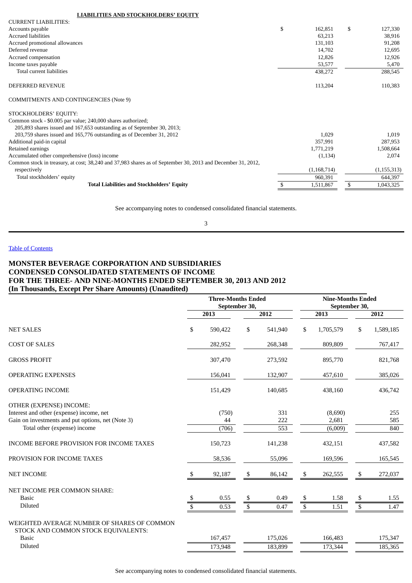### **LIABILITIES AND STOCKHOLDERS' EQUITY**

| <b>CURRENT LIABILITIES:</b>                                                                                 |               |               |
|-------------------------------------------------------------------------------------------------------------|---------------|---------------|
| Accounts payable                                                                                            | \$<br>162,851 | \$<br>127,330 |
| <b>Accrued liabilities</b>                                                                                  | 63,213        | 38,916        |
| Accrued promotional allowances                                                                              | 131,103       | 91,208        |
| Deferred revenue                                                                                            | 14,702        | 12,695        |
| Accrued compensation                                                                                        | 12,826        | 12,926        |
| Income taxes payable                                                                                        | 53,577        | 5,470         |
| Total current liabilities                                                                                   | 438,272       | 288,545       |
| DEFERRED REVENUE                                                                                            | 113,204       | 110,383       |
| <b>COMMITMENTS AND CONTINGENCIES (Note 9)</b>                                                               |               |               |
| STOCKHOLDERS' EQUITY:                                                                                       |               |               |
| Common stock - \$0.005 par value; 240,000 shares authorized;                                                |               |               |
| 205,893 shares issued and 167,653 outstanding as of September 30, 2013;                                     |               |               |
| 203,759 shares issued and 165,776 outstanding as of December 31, 2012                                       | 1,029         | 1,019         |
| Additional paid-in capital                                                                                  | 357,991       | 287,953       |
| Retained earnings                                                                                           | 1,771,219     | 1,508,664     |
| Accumulated other comprehensive (loss) income                                                               | (1, 134)      | 2,074         |
| Common stock in treasury, at cost; 38,240 and 37,983 shares as of September 30, 2013 and December 31, 2012, |               |               |
| respectively                                                                                                | (1, 168, 714) | (1, 155, 313) |
| Total stockholders' equity                                                                                  | 960,391       | 644,397       |
| <b>Total Liabilities and Stockholders' Equity</b>                                                           | 1,511,867     | 1,043,325     |
|                                                                                                             |               |               |

See accompanying notes to condensed consolidated financial statements.

<span id="page-2-0"></span>3

### Table of [Contents](#page-0-0)

## **MONSTER BEVERAGE CORPORATION AND SUBSIDIARIES CONDENSED CONSOLIDATED STATEMENTS OF INCOME FOR THE THREE- AND NINE-MONTHS ENDED SEPTEMBER 30, 2013 AND 2012 (In Thousands, Except Per Share Amounts) (Unaudited)**

|                                                                                                                                                          | <b>Three-Months Ended</b><br>September 30, |                      |          |                   | <b>Nine-Months Ended</b><br>September 30, |                             |          |                   |  |
|----------------------------------------------------------------------------------------------------------------------------------------------------------|--------------------------------------------|----------------------|----------|-------------------|-------------------------------------------|-----------------------------|----------|-------------------|--|
|                                                                                                                                                          |                                            | 2013                 |          | 2012              |                                           | 2013                        |          | 2012              |  |
| <b>NET SALES</b>                                                                                                                                         | \$                                         | 590,422              | \$       | 541,940           | \$                                        | 1,705,579                   | \$       | 1,589,185         |  |
| <b>COST OF SALES</b>                                                                                                                                     |                                            | 282,952              |          | 268,348           |                                           | 809,809                     |          | 767,417           |  |
| <b>GROSS PROFIT</b>                                                                                                                                      |                                            | 307,470              |          | 273,592           |                                           | 895,770                     |          | 821,768           |  |
| <b>OPERATING EXPENSES</b>                                                                                                                                |                                            | 156,041              |          | 132,907           |                                           | 457,610                     |          | 385,026           |  |
| OPERATING INCOME                                                                                                                                         |                                            | 151,429              |          | 140,685           |                                           | 438,160                     |          | 436,742           |  |
| OTHER (EXPENSE) INCOME:<br>Interest and other (expense) income, net<br>Gain on investments and put options, net (Note 3)<br>Total other (expense) income |                                            | (750)<br>44<br>(706) |          | 331<br>222<br>553 |                                           | (8,690)<br>2,681<br>(6,009) |          | 255<br>585<br>840 |  |
| INCOME BEFORE PROVISION FOR INCOME TAXES                                                                                                                 |                                            | 150,723              |          | 141,238           |                                           | 432,151                     |          | 437,582           |  |
| PROVISION FOR INCOME TAXES                                                                                                                               |                                            | 58,536               |          | 55,096            |                                           | 169,596                     |          | 165,545           |  |
| <b>NET INCOME</b>                                                                                                                                        | \$                                         | 92,187               | \$       | 86,142            | \$                                        | 262,555                     | \$       | 272,037           |  |
| NET INCOME PER COMMON SHARE:<br><b>Basic</b><br>Diluted                                                                                                  | \$<br>$\overline{\mathbb{S}}$              | 0.55<br>0.53         | \$<br>\$ | 0.49<br>0.47      | \$<br>$\overline{\mathbb{S}}$             | 1.58<br>1.51                | \$<br>\$ | 1.55<br>1.47      |  |
| WEIGHTED AVERAGE NUMBER OF SHARES OF COMMON<br>STOCK AND COMMON STOCK EQUIVALENTS:<br><b>Basic</b>                                                       |                                            | 167,457              |          | 175,026           |                                           | 166,483                     |          | 175,347           |  |
| Diluted                                                                                                                                                  |                                            | 173,948              |          | 183,899           |                                           | 173,344                     |          | 185,365           |  |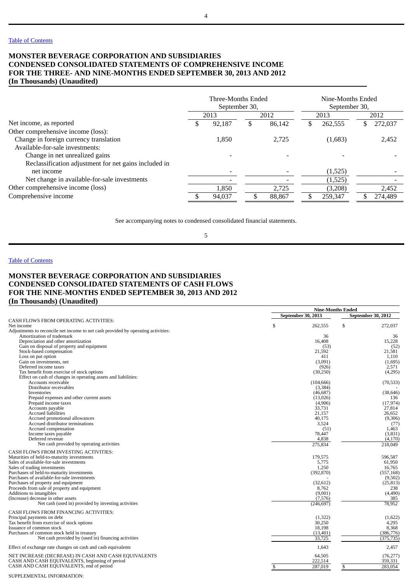## **MONSTER BEVERAGE CORPORATION AND SUBSIDIARIES CONDENSED CONSOLIDATED STATEMENTS OF COMPREHENSIVE INCOME FOR THE THREE- AND NINE-MONTHS ENDED SEPTEMBER 30, 2013 AND 2012 (In Thousands) (Unaudited)**

|                                                       | Three-Months Ended<br>September 30, |        |    | Nine-Months Ended<br>September 30, |         |   |         |  |
|-------------------------------------------------------|-------------------------------------|--------|----|------------------------------------|---------|---|---------|--|
|                                                       |                                     | 2013   |    | 2012                               | 2013    |   | 2012    |  |
| Net income, as reported                               | Ъ                                   | 92,187 | \$ | 86,142                             | 262,555 | S | 272,037 |  |
| Other comprehensive income (loss):                    |                                     |        |    |                                    |         |   |         |  |
| Change in foreign currency translation                |                                     | 1,850  |    | 2,725                              | (1,683) |   | 2,452   |  |
| Available-for-sale investments:                       |                                     |        |    |                                    |         |   |         |  |
| Change in net unrealized gains                        |                                     |        |    |                                    |         |   |         |  |
| Reclassification adjustment for net gains included in |                                     |        |    |                                    |         |   |         |  |
| net income                                            |                                     |        |    |                                    | (1,525) |   |         |  |
| Net change in available-for-sale investments          |                                     |        |    |                                    | (1,525) |   |         |  |
| Other comprehensive income (loss)                     |                                     | 1,850  |    | 2,725                              | (3,208) |   | 2,452   |  |
| Comprehensive income                                  |                                     | 94,037 |    | 88,867                             | 259,347 |   | 274,489 |  |

See accompanying notes to condensed consolidated financial statements.

### <span id="page-3-1"></span><span id="page-3-0"></span>5

### Table of [Contents](#page-0-0)

## **MONSTER BEVERAGE CORPORATION AND SUBSIDIARIES CONDENSED CONSOLIDATED STATEMENTS OF CASH FLOWS FOR THE NINE-MONTHS ENDED SEPTEMBER 30, 2013 AND 2012 (In Thousands) (Unaudited)**

|                                                                                   | <b>Nine-Months Ended</b> |                           |    |                    |  |
|-----------------------------------------------------------------------------------|--------------------------|---------------------------|----|--------------------|--|
|                                                                                   |                          | <b>September 30, 2013</b> |    | September 30, 2012 |  |
| CASH FLOWS FROM OPERATING ACTIVITIES:                                             |                          |                           |    |                    |  |
| Net income                                                                        | \$                       | 262,555                   | \$ | 272,037            |  |
| Adjustments to reconcile net income to net cash provided by operating activities: |                          |                           |    |                    |  |
| Amortization of trademark                                                         |                          | 36                        |    | 36                 |  |
| Depreciation and other amortization                                               |                          | 16,408                    |    | 15,228             |  |
| Gain on disposal of property and equipment                                        |                          | (53)                      |    | (52)               |  |
| Stock-based compensation                                                          |                          | 21,592                    |    | 21,581             |  |
| Loss on put option                                                                |                          | 411                       |    | 1,110              |  |
| Gain on investments, net                                                          |                          | (3,091)                   |    | (1,695)            |  |
| Deferred income taxes                                                             |                          | (926)                     |    | 2,571              |  |
| Tax benefit from exercise of stock options                                        |                          | (30, 250)                 |    | (4,295)            |  |
| Effect on cash of changes in operating assets and liabilities:                    |                          |                           |    |                    |  |
| Accounts receivable                                                               |                          | (104, 666)                |    | (70, 533)          |  |
| Distributor receivables                                                           |                          | (3,384)                   |    |                    |  |
| Inventories                                                                       |                          | (46, 687)                 |    | (38, 646)          |  |
| Prepaid expenses and other current assets                                         |                          | (13,026)                  |    | 136                |  |
| Prepaid income taxes                                                              |                          | (4,906)                   |    | (17, 974)          |  |
| Accounts payable                                                                  |                          | 33,731                    |    | 27,814             |  |
| Accrued liabilities                                                               |                          | 21,157                    |    | 26,652             |  |
| Accrued promotional allowances                                                    |                          | 40,175                    |    | (9,306)            |  |
| Accrued distributor terminations                                                  |                          | 3,524                     |    | (77)               |  |
| Accrued compensation                                                              |                          | (51)                      |    | 1,463              |  |
| Income taxes payable                                                              |                          | 78,447                    |    | (3, 831)           |  |
| Deferred revenue                                                                  |                          | 4,838                     |    | (4, 170)           |  |
| Net cash provided by operating activities                                         |                          | 275.834                   |    | 218.049            |  |
|                                                                                   |                          |                           |    |                    |  |
| CASH FLOWS FROM INVESTING ACTIVITIES:                                             |                          |                           |    |                    |  |
| Maturities of held-to-maturity investments                                        |                          | 179,575                   |    | 596.587            |  |
| Sales of available-for-sale investments                                           |                          | 5,775                     |    | 61,950             |  |
| Sales of trading investments                                                      |                          | 1,250                     |    | 16,765             |  |
| Purchases of held-to-maturity investments                                         |                          | (392, 870)                |    | (557, 168)         |  |
| Purchases of available-for-sale investments                                       |                          |                           |    | (9,502)            |  |
| Purchases of property and equipment                                               |                          | (32, 612)                 |    | (25, 813)          |  |
| Proceeds from sale of property and equipment                                      |                          | 8.762                     |    | 238                |  |
| Additions to intangibles                                                          |                          | (9,001)                   |    | (4, 490)           |  |
| (Increase) decrease in other assets                                               |                          | (7,576)                   |    | 385                |  |
| Net cash (used in) provided by investing activities                               |                          | (246, 697)                |    | 78,952             |  |
|                                                                                   |                          |                           |    |                    |  |
| CASH FLOWS FROM FINANCING ACTIVITIES:                                             |                          |                           |    |                    |  |
| Principal payments on debt                                                        |                          | (1,322)                   |    | (1,622)            |  |
| Tax benefit from exercise of stock options                                        |                          | 30,250                    |    | 4,295              |  |
| Issuance of common stock                                                          |                          | 18.198                    |    | 8,368              |  |
| Purchases of common stock held in treasury                                        |                          | (13, 401)                 |    | (386, 776)         |  |
| Net cash provided by (used in) financing activities                               |                          | 33,725                    |    | (375, 735)         |  |
| Effect of exchange rate changes on cash and cash equivalents                      |                          | 1,643                     |    | 2,457              |  |
|                                                                                   |                          |                           |    |                    |  |
| NET INCREASE (DECREASE) IN CASH AND CASH EQUIVALENTS                              |                          | 64,505                    |    | (76, 277)          |  |
| CASH AND CASH EQUIVALENTS, beginning of period                                    |                          | 222,514                   |    | 359,331            |  |
| CASH AND CASH EQUIVALENTS, end of period                                          | $\sqrt[6]{\frac{2}{5}}$  | 287.019                   | \$ | 283.054            |  |
|                                                                                   |                          |                           |    |                    |  |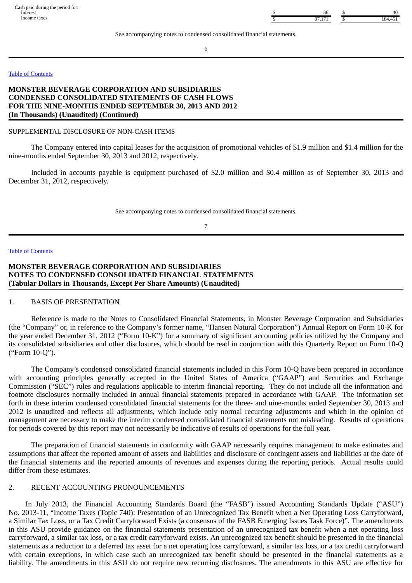See accompanying notes to condensed consolidated financial statements.

6

### Table of [Contents](#page-0-0)

## **MONSTER BEVERAGE CORPORATION AND SUBSIDIARIES CONDENSED CONSOLIDATED STATEMENTS OF CASH FLOWS FOR THE NINE-MONTHS ENDED SEPTEMBER 30, 2013 AND 2012 (In Thousands) (Unaudited) (Continued)**

### SUPPLEMENTAL DISCLOSURE OF NON-CASH ITEMS

The Company entered into capital leases for the acquisition of promotional vehicles of \$1.9 million and \$1.4 million for the nine-months ended September 30, 2013 and 2012, respectively.

Included in accounts payable is equipment purchased of \$2.0 million and \$0.4 million as of September 30, 2013 and December 31, 2012, respectively.

See accompanying notes to condensed consolidated financial statements.

<span id="page-4-0"></span>7

#### Table of [Contents](#page-0-0)

## **MONSTER BEVERAGE CORPORATION AND SUBSIDIARIES NOTES TO CONDENSED CONSOLIDATED FINANCIAL STATEMENTS (Tabular Dollars in Thousands, Except Per Share Amounts) (Unaudited)**

### 1. BASIS OF PRESENTATION

Reference is made to the Notes to Consolidated Financial Statements, in Monster Beverage Corporation and Subsidiaries (the "Company" or, in reference to the Company's former name, "Hansen Natural Corporation") Annual Report on Form 10-K for the year ended December 31, 2012 ("Form 10-K") for a summary of significant accounting policies utilized by the Company and its consolidated subsidiaries and other disclosures, which should be read in conjunction with this Quarterly Report on Form 10-Q ("Form 10-Q").

The Company's condensed consolidated financial statements included in this Form 10-Q have been prepared in accordance with accounting principles generally accepted in the United States of America ("GAAP") and Securities and Exchange Commission ("SEC") rules and regulations applicable to interim financial reporting. They do not include all the information and footnote disclosures normally included in annual financial statements prepared in accordance with GAAP. The information set forth in these interim condensed consolidated financial statements for the three- and nine-months ended September 30, 2013 and 2012 is unaudited and reflects all adjustments, which include only normal recurring adjustments and which in the opinion of management are necessary to make the interim condensed consolidated financial statements not misleading. Results of operations for periods covered by this report may not necessarily be indicative of results of operations for the full year.

The preparation of financial statements in conformity with GAAP necessarily requires management to make estimates and assumptions that affect the reported amount of assets and liabilities and disclosure of contingent assets and liabilities at the date of the financial statements and the reported amounts of revenues and expenses during the reporting periods. Actual results could differ from these estimates.

### 2. RECENT ACCOUNTING PRONOUNCEMENTS

In July 2013, the Financial Accounting Standards Board (the "FASB") issued Accounting Standards Update ("ASU") No. 2013-11, "Income Taxes (Topic 740): Presentation of an Unrecognized Tax Benefit when a Net Operating Loss Carryforward, a Similar Tax Loss, or a Tax Credit Carryforward Exists (a consensus of the FASB Emerging Issues Task Force)". The amendments in this ASU provide guidance on the financial statements presentation of an unrecognized tax benefit when a net operating loss carryforward, a similar tax loss, or a tax credit carryforward exists. An unrecognized tax benefit should be presented in the financial statements as a reduction to a deferred tax asset for a net operating loss carryforward, a similar tax loss, or a tax credit carryforward with certain exceptions, in which case such an unrecognized tax benefit should be presented in the financial statements as a liability. The amendments in this ASU do not require new recurring disclosures. The amendments in this ASU are effective for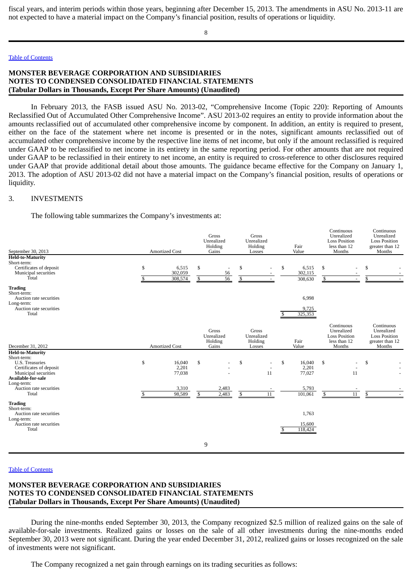fiscal years, and interim periods within those years, beginning after December 15, 2013. The amendments in ASU No. 2013-11 are not expected to have a material impact on the Company's financial position, results of operations or liquidity.

8

#### Table of [Contents](#page-0-0)

## **MONSTER BEVERAGE CORPORATION AND SUBSIDIARIES NOTES TO CONDENSED CONSOLIDATED FINANCIAL STATEMENTS (Tabular Dollars in Thousands, Except Per Share Amounts) (Unaudited)**

In February 2013, the FASB issued ASU No. 2013-02, "Comprehensive Income (Topic 220): Reporting of Amounts Reclassified Out of Accumulated Other Comprehensive Income". ASU 2013-02 requires an entity to provide information about the amounts reclassified out of accumulated other comprehensive income by component. In addition, an entity is required to present, either on the face of the statement where net income is presented or in the notes, significant amounts reclassified out of accumulated other comprehensive income by the respective line items of net income, but only if the amount reclassified is required under GAAP to be reclassified to net income in its entirety in the same reporting period. For other amounts that are not required under GAAP to be reclassified in their entirety to net income, an entity is required to cross-reference to other disclosures required under GAAP that provide additional detail about those amounts. The guidance became effective for the Company on January 1, 2013. The adoption of ASU 2013-02 did not have a material impact on the Company's financial position, results of operations or liquidity.

#### 3. INVESTMENTS

The following table summarizes the Company's investments at:

| September 30, 2013                                                                                         | <b>Amortized Cost</b> |                             | Gross<br>Unrealized<br>Holding<br>Gains |                |          | Gross<br>Unrealized<br>Holding<br>Losses | Fair<br>Value                     | Continuous<br>Unrealized<br><b>Loss Position</b><br>less than 12<br>Months | Continuous<br>Unrealized<br><b>Loss Position</b><br>greater than 12<br>Months |  |
|------------------------------------------------------------------------------------------------------------|-----------------------|-----------------------------|-----------------------------------------|----------------|----------|------------------------------------------|-----------------------------------|----------------------------------------------------------------------------|-------------------------------------------------------------------------------|--|
| <b>Held-to-Maturity</b>                                                                                    |                       |                             |                                         |                |          |                                          |                                   |                                                                            |                                                                               |  |
| Short-term:<br>Certificates of deposit<br>Municipal securities<br>Total                                    | \$                    | 6,515<br>302,059<br>308,574 | \$<br>\$                                | 56<br>56       | \$<br>\$ |                                          | \$<br>6,515<br>302,115<br>308,630 | \$                                                                         | \$                                                                            |  |
| <b>Trading</b><br>Short-term:<br>Auction rate securities<br>Long-term:                                     |                       |                             |                                         |                |          |                                          | 6,998                             |                                                                            |                                                                               |  |
| Auction rate securities<br>Total                                                                           |                       |                             |                                         |                |          |                                          | 9,725<br>325,353                  |                                                                            |                                                                               |  |
|                                                                                                            |                       |                             | Gross<br>Unrealized<br>Holding          |                |          | Gross<br>Unrealized<br>Holding           | Fair                              | Continuous<br>Unrealized<br><b>Loss Position</b><br>less than 12           | Continuous<br>Unrealized<br><b>Loss Position</b><br>greater than 12           |  |
| December 31, 2012<br><b>Held-to-Maturity</b>                                                               | <b>Amortized Cost</b> |                             | <b>Gains</b>                            |                |          | Losses                                   | Value                             | Months                                                                     | Months                                                                        |  |
| Short-term:<br>U.S. Treasuries<br>Certificates of deposit<br>Municipal securities<br>Available-for-sale    | \$                    | 16,040<br>2,201<br>77,038   | \$                                      |                | \$       | 11                                       | \$<br>16,040<br>2,201<br>77,027   | \$<br>11                                                                   | \$                                                                            |  |
| Long-term:<br>Auction rate securities<br>Total                                                             |                       | 3,310<br>98,589             | \$                                      | 2,483<br>2,483 | S        | 11                                       | 5,793<br>101,061                  | 11                                                                         |                                                                               |  |
| <b>Trading</b><br>Short-term:<br>Auction rate securities<br>Long-term:<br>Auction rate securities<br>Total |                       |                             |                                         |                |          |                                          | 1,763<br>15,600<br>118,424        |                                                                            |                                                                               |  |
|                                                                                                            |                       |                             | 9                                       |                |          |                                          |                                   |                                                                            |                                                                               |  |

#### Table of [Contents](#page-0-0)

### **MONSTER BEVERAGE CORPORATION AND SUBSIDIARIES NOTES TO CONDENSED CONSOLIDATED FINANCIAL STATEMENTS (Tabular Dollars in Thousands, Except Per Share Amounts) (Unaudited)**

During the nine-months ended September 30, 2013, the Company recognized \$2.5 million of realized gains on the sale of available-for-sale investments. Realized gains or losses on the sale of all other investments during the nine-months ended September 30, 2013 were not significant. During the year ended December 31, 2012, realized gains or losses recognized on the sale of investments were not significant.

The Company recognized a net gain through earnings on its trading securities as follows: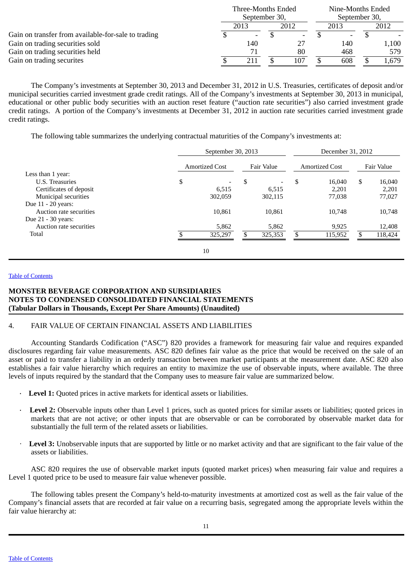|                                                     |      | Three-Months Ended<br>September 30, |      |                          |      | Nine-Months Ended<br>September 30, |      |       |
|-----------------------------------------------------|------|-------------------------------------|------|--------------------------|------|------------------------------------|------|-------|
|                                                     | 2013 |                                     | 2012 |                          | 2013 |                                    | 2012 |       |
| Gain on transfer from available-for-sale to trading |      | $\overline{\phantom{a}}$            |      | $\overline{\phantom{a}}$ |      | $\sim$                             |      |       |
| Gain on trading securities sold                     |      | 140                                 |      |                          |      | 140                                |      | 1,100 |
| Gain on trading securities held                     |      | 71                                  |      | 80                       |      | 468                                |      | 579   |
| Gain on trading securites                           |      | 211                                 |      | 107                      |      | 608                                |      | 1,679 |

The Company's investments at September 30, 2013 and December 31, 2012 in U.S. Treasuries, certificates of deposit and/or municipal securities carried investment grade credit ratings. All of the Company's investments at September 30, 2013 in municipal, educational or other public body securities with an auction reset feature ("auction rate securities") also carried investment grade credit ratings. A portion of the Company's investments at December 31, 2012 in auction rate securities carried investment grade credit ratings.

The following table summarizes the underlying contractual maturities of the Company's investments at:

|                         | September 30, 2013 |                          |    |                          |    | December 31, 2012     |    |            |  |  |
|-------------------------|--------------------|--------------------------|----|--------------------------|----|-----------------------|----|------------|--|--|
|                         |                    | <b>Amortized Cost</b>    |    | Fair Value               |    | <b>Amortized Cost</b> |    | Fair Value |  |  |
| Less than 1 year:       |                    |                          |    |                          |    |                       |    |            |  |  |
| U.S. Treasuries         | \$                 | $\overline{\phantom{0}}$ | \$ | $\overline{\phantom{a}}$ | \$ | 16.040                | S. | 16,040     |  |  |
| Certificates of deposit |                    | 6,515                    |    | 6,515                    |    | 2.201                 |    | 2,201      |  |  |
| Municipal securities    |                    | 302,059                  |    | 302,115                  |    | 77,038                |    | 77,027     |  |  |
| Due 11 - 20 years:      |                    |                          |    |                          |    |                       |    |            |  |  |
| Auction rate securities |                    | 10.861                   |    | 10,861                   |    | 10,748                |    | 10,748     |  |  |
| Due 21 - 30 years:      |                    |                          |    |                          |    |                       |    |            |  |  |
| Auction rate securities |                    | 5,862                    |    | 5,862                    |    | 9,925                 |    | 12,408     |  |  |
| Total                   |                    | 325,297                  |    | 325,353                  |    | 115,952               |    | 118,424    |  |  |
|                         |                    |                          |    |                          |    |                       |    |            |  |  |
|                         |                    | 10                       |    |                          |    |                       |    |            |  |  |

### Table of [Contents](#page-0-0)

## **MONSTER BEVERAGE CORPORATION AND SUBSIDIARIES NOTES TO CONDENSED CONSOLIDATED FINANCIAL STATEMENTS (Tabular Dollars in Thousands, Except Per Share Amounts) (Unaudited)**

## 4. FAIR VALUE OF CERTAIN FINANCIAL ASSETS AND LIABILITIES

Accounting Standards Codification ("ASC") 820 provides a framework for measuring fair value and requires expanded disclosures regarding fair value measurements. ASC 820 defines fair value as the price that would be received on the sale of an asset or paid to transfer a liability in an orderly transaction between market participants at the measurement date. ASC 820 also establishes a fair value hierarchy which requires an entity to maximize the use of observable inputs, where available. The three levels of inputs required by the standard that the Company uses to measure fair value are summarized below.

- **· Level 1:** Quoted prices in active markets for identical assets or liabilities.
- **· Level 2:** Observable inputs other than Level 1 prices, such as quoted prices for similar assets or liabilities; quoted prices in markets that are not active; or other inputs that are observable or can be corroborated by observable market data for substantially the full term of the related assets or liabilities.
- Level 3: Unobservable inputs that are supported by little or no market activity and that are significant to the fair value of the assets or liabilities.

ASC 820 requires the use of observable market inputs (quoted market prices) when measuring fair value and requires a Level 1 quoted price to be used to measure fair value whenever possible.

The following tables present the Company's held-to-maturity investments at amortized cost as well as the fair value of the Company's financial assets that are recorded at fair value on a recurring basis, segregated among the appropriate levels within the fair value hierarchy at: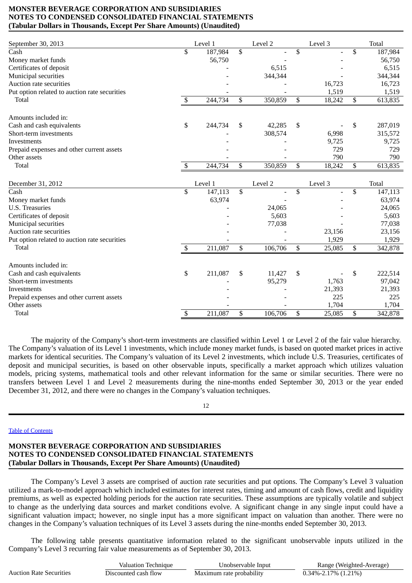## **MONSTER BEVERAGE CORPORATION AND SUBSIDIARIES NOTES TO CONDENSED CONSOLIDATED FINANCIAL STATEMENTS (Tabular Dollars in Thousands, Except Per Share Amounts) (Unaudited)**

| September 30, 2013                            | Level 1       | Level 2       | Level 3      | <b>Total</b>  |
|-----------------------------------------------|---------------|---------------|--------------|---------------|
| Cash                                          | \$<br>187,984 | \$            | \$           | \$<br>187,984 |
| Money market funds                            | 56,750        |               |              | 56,750        |
| Certificates of deposit                       |               | 6,515         |              | 6,515         |
| Municipal securities                          |               | 344,344       |              | 344,344       |
| Auction rate securities                       |               |               | 16,723       | 16,723        |
| Put option related to auction rate securities |               |               | 1,519        | 1,519         |
| Total                                         | \$<br>244,734 | \$<br>350,859 | \$<br>18,242 | \$<br>613,835 |
| Amounts included in:                          |               |               |              |               |
| Cash and cash equivalents                     | \$<br>244,734 | \$<br>42,285  | \$           | \$<br>287,019 |
| Short-term investments                        |               | 308,574       | 6,998        | 315,572       |
| Investments                                   |               |               | 9,725        | 9,725         |
| Prepaid expenses and other current assets     |               |               | 729          | 729           |
| Other assets                                  |               |               | 790          | 790           |
| Total                                         | \$<br>244,734 | \$<br>350,859 | \$<br>18,242 | \$<br>613,835 |
| December 31, 2012                             | Level 1       | Level 2       | Level 3      | <b>Total</b>  |
| Cash                                          | \$<br>147,113 | \$            | \$           | \$<br>147,113 |
| Money market funds                            | 63,974        |               |              | 63,974        |
| U.S. Treasuries                               |               | 24,065        |              | 24,065        |
| Certificates of deposit                       |               | 5,603         |              | 5,603         |
| Municipal securities                          |               | 77,038        |              | 77,038        |
| Auction rate securities                       |               |               | 23,156       | 23,156        |
| Put option related to auction rate securities |               |               | 1,929        | 1,929         |
| Total                                         | \$<br>211,087 | \$<br>106,706 | \$<br>25,085 | \$<br>342,878 |
| Amounts included in:                          |               |               |              |               |
| Cash and cash equivalents                     | \$<br>211,087 | \$<br>11,427  | \$           | \$<br>222,514 |
| Short-term investments                        |               | 95,279        | 1,763        | 97,042        |
| Investments                                   |               |               | 21,393       | 21,393        |
| Prepaid expenses and other current assets     |               |               | 225          | 225           |
| Other assets                                  |               |               | 1,704        | 1,704         |
|                                               |               |               |              |               |

The majority of the Company's short-term investments are classified within Level 1 or Level 2 of the fair value hierarchy. The Company's valuation of its Level 1 investments, which include money market funds, is based on quoted market prices in active markets for identical securities. The Company's valuation of its Level 2 investments, which include U.S. Treasuries, certificates of deposit and municipal securities, is based on other observable inputs, specifically a market approach which utilizes valuation models, pricing systems, mathematical tools and other relevant information for the same or similar securities. There were no transfers between Level 1 and Level 2 measurements during the nine-months ended September 30, 2013 or the year ended December 31, 2012, and there were no changes in the Company's valuation techniques.

### 12

### Table of [Contents](#page-0-0)

## **MONSTER BEVERAGE CORPORATION AND SUBSIDIARIES NOTES TO CONDENSED CONSOLIDATED FINANCIAL STATEMENTS (Tabular Dollars in Thousands, Except Per Share Amounts) (Unaudited)**

The Company's Level 3 assets are comprised of auction rate securities and put options. The Company's Level 3 valuation utilized a mark-to-model approach which included estimates for interest rates, timing and amount of cash flows, credit and liquidity premiums, as well as expected holding periods for the auction rate securities. These assumptions are typically volatile and subject to change as the underlying data sources and market conditions evolve. A significant change in any single input could have a significant valuation impact; however, no single input has a more significant impact on valuation than another. There were no changes in the Company's valuation techniques of its Level 3 assets during the nine-months ended September 30, 2013.

The following table presents quantitative information related to the significant unobservable inputs utilized in the Company's Level 3 recurring fair value measurements as of September 30, 2013.

|                         | Valuation Technique  | Unobservable Input       | Range (Weighted-Average)  |
|-------------------------|----------------------|--------------------------|---------------------------|
| Auction Rate Securities | Discounted cash flow | Maximum rate probability | $0.34\% - 2.17\%$ (1.21%) |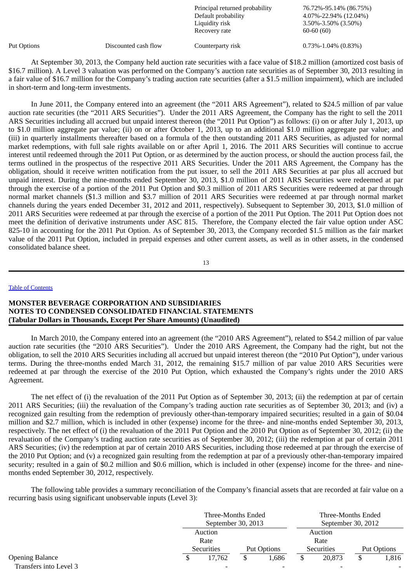|             |                      | Principal returned probability<br>Default probability<br>Liquidity risk<br>Recovery rate | 76.72%-95.14% (86.75%)<br>4.07%-22.94% (12.04%)<br>$3.50\% - 3.50\%$ (3.50%)<br>$60-60(60)$ |
|-------------|----------------------|------------------------------------------------------------------------------------------|---------------------------------------------------------------------------------------------|
| Put Options | Discounted cash flow | Counterparty risk                                                                        | $0.73\% - 1.04\%$ (0.83%)                                                                   |

At September 30, 2013, the Company held auction rate securities with a face value of \$18.2 million (amortized cost basis of \$16.7 million). A Level 3 valuation was performed on the Company's auction rate securities as of September 30, 2013 resulting in a fair value of \$16.7 million for the Company's trading auction rate securities (after a \$1.5 million impairment), which are included in short-term and long-term investments.

In June 2011, the Company entered into an agreement (the "2011 ARS Agreement"), related to \$24.5 million of par value auction rate securities (the "2011 ARS Securities"). Under the 2011 ARS Agreement, the Company has the right to sell the 2011 ARS Securities including all accrued but unpaid interest thereon (the "2011 Put Option") as follows: (i) on or after July 1, 2013, up to \$1.0 million aggregate par value; (ii) on or after October 1, 2013, up to an additional \$1.0 million aggregate par value; and (iii) in quarterly installments thereafter based on a formula of the then outstanding 2011 ARS Securities, as adjusted for normal market redemptions, with full sale rights available on or after April 1, 2016. The 2011 ARS Securities will continue to accrue interest until redeemed through the 2011 Put Option, or as determined by the auction process, or should the auction process fail, the terms outlined in the prospectus of the respective 2011 ARS Securities. Under the 2011 ARS Agreement, the Company has the obligation, should it receive written notification from the put issuer, to sell the 2011 ARS Securities at par plus all accrued but unpaid interest. During the nine-months ended September 30, 2013, \$1.0 million of 2011 ARS Securities were redeemed at par through the exercise of a portion of the 2011 Put Option and \$0.3 million of 2011 ARS Securities were redeemed at par through normal market channels (\$1.3 million and \$3.7 million of 2011 ARS Securities were redeemed at par through normal market channels during the years ended December 31, 2012 and 2011, respectively). Subsequent to September 30, 2013, \$1.0 million of 2011 ARS Securities were redeemed at par through the exercise of a portion of the 2011 Put Option. The 2011 Put Option does not meet the definition of derivative instruments under ASC 815. Therefore, the Company elected the fair value option under ASC 825-10 in accounting for the 2011 Put Option. As of September 30, 2013, the Company recorded \$1.5 million as the fair market value of the 2011 Put Option, included in prepaid expenses and other current assets, as well as in other assets, in the condensed consolidated balance sheet.

13

#### Table of [Contents](#page-0-0)

### **MONSTER BEVERAGE CORPORATION AND SUBSIDIARIES NOTES TO CONDENSED CONSOLIDATED FINANCIAL STATEMENTS (Tabular Dollars in Thousands, Except Per Share Amounts) (Unaudited)**

In March 2010, the Company entered into an agreement (the "2010 ARS Agreement"), related to \$54.2 million of par value auction rate securities (the "2010 ARS Securities"). Under the 2010 ARS Agreement, the Company had the right, but not the obligation, to sell the 2010 ARS Securities including all accrued but unpaid interest thereon (the "2010 Put Option"), under various terms. During the three-months ended March 31, 2012, the remaining \$15.7 million of par value 2010 ARS Securities were redeemed at par through the exercise of the 2010 Put Option, which exhausted the Company's rights under the 2010 ARS Agreement.

The net effect of (i) the revaluation of the 2011 Put Option as of September 30, 2013; (ii) the redemption at par of certain 2011 ARS Securities; (iii) the revaluation of the Company's trading auction rate securities as of September 30, 2013; and (iv) a recognized gain resulting from the redemption of previously other-than-temporary impaired securities; resulted in a gain of \$0.04 million and \$2.7 million, which is included in other (expense) income for the three- and nine-months ended September 30, 2013, respectively. The net effect of (i) the revaluation of the 2011 Put Option and the 2010 Put Option as of September 30, 2012; (ii) the revaluation of the Company's trading auction rate securities as of September 30, 2012; (iii) the redemption at par of certain 2011 ARS Securities; (iv) the redemption at par of certain 2010 ARS Securities, including those redeemed at par through the exercise of the 2010 Put Option; and (v) a recognized gain resulting from the redemption at par of a previously other-than-temporary impaired security; resulted in a gain of \$0.2 million and \$0.6 million, which is included in other (expense) income for the three- and ninemonths ended September 30, 2012, respectively.

The following table provides a summary reconciliation of the Company's financial assets that are recorded at fair value on a recurring basis using significant unobservable inputs (Level 3):

|                        | Three-Months Ended<br>September 30, 2013 |  |             |  | Three-Months Ended<br>September 30, 2012 |             |
|------------------------|------------------------------------------|--|-------------|--|------------------------------------------|-------------|
|                        | Auction                                  |  |             |  | Auction                                  |             |
|                        | Rate                                     |  | Rate        |  |                                          |             |
|                        | <b>Securities</b>                        |  | Put Options |  | <b>Securities</b>                        | Put Options |
| <b>Opening Balance</b> | 17.762                                   |  | 1,686       |  | 20,873                                   | 1,816       |
| Transfers into Level 3 |                                          |  |             |  |                                          |             |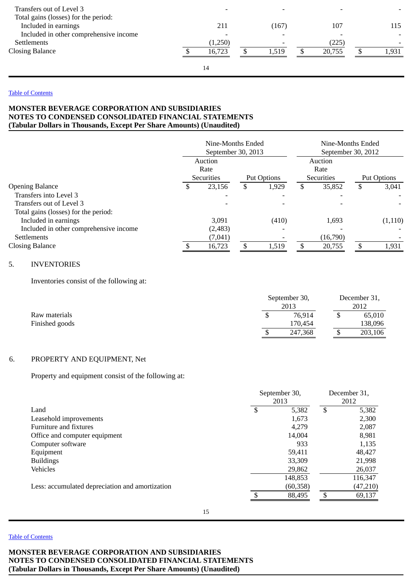| Transfers out of Level 3               |         |       |        |       |
|----------------------------------------|---------|-------|--------|-------|
| Total gains (losses) for the period:   |         |       |        |       |
| Included in earnings                   | 211     | (167) | 107    | 115   |
| Included in other comprehensive income |         |       |        |       |
| Settlements                            | (1,250) |       | (225)  |       |
| <b>Closing Balance</b>                 | 16,723  | 1,519 | 20,755 | 1,931 |
|                                        |         |       |        |       |
|                                        | 14      |       |        |       |

### Table of [Contents](#page-0-0)

## **MONSTER BEVERAGE CORPORATION AND SUBSIDIARIES NOTES TO CONDENSED CONSOLIDATED FINANCIAL STATEMENTS (Tabular Dollars in Thousands, Except Per Share Amounts) (Unaudited)**

|                                        | Nine-Months Ended<br>September 30, 2013 |                   |    |             |   | Nine-Months Ended<br>September 30, 2012 |     |             |
|----------------------------------------|-----------------------------------------|-------------------|----|-------------|---|-----------------------------------------|-----|-------------|
|                                        |                                         | Auction<br>Rate   |    |             |   | Auction<br>Rate                         |     |             |
|                                        |                                         | <b>Securities</b> |    | Put Options |   | <b>Securities</b>                       |     | Put Options |
| <b>Opening Balance</b>                 |                                         | 23,156            | \$ | 1,929       | S | 35,852                                  | S   | 3,041       |
| Transfers into Level 3                 |                                         |                   |    |             |   |                                         |     |             |
| Transfers out of Level 3               |                                         |                   |    |             |   |                                         |     |             |
| Total gains (losses) for the period:   |                                         |                   |    |             |   |                                         |     |             |
| Included in earnings                   |                                         | 3,091             |    | (410)       |   | 1,693                                   |     | (1,110)     |
| Included in other comprehensive income |                                         | (2,483)           |    |             |   |                                         |     |             |
| <b>Settlements</b>                     |                                         | (7,041)           |    |             |   | (16,790)                                |     |             |
| <b>Closing Balance</b>                 |                                         | 16,723            |    | 1,519       |   | 20,755                                  | \$. | 1,931       |

## 5. INVENTORIES

Inventories consist of the following at:

|                | September 30, |  | December 31, |
|----------------|---------------|--|--------------|
|                | 2013          |  | 2012         |
| Raw materials  | 76,914        |  | 65,010       |
| Finished goods | 170.454       |  | 138,096      |
|                | 247,368       |  | 203,106      |

## 6. PROPERTY AND EQUIPMENT, Net

Property and equipment consist of the following at:

|                                                 | September 30,<br>2013 |           |    | December 31, |
|-------------------------------------------------|-----------------------|-----------|----|--------------|
|                                                 |                       |           |    | 2012         |
| Land                                            | S                     | 5,382     | S  | 5,382        |
| Leasehold improvements                          |                       | 1,673     |    | 2,300        |
| Furniture and fixtures                          |                       | 4,279     |    | 2,087        |
| Office and computer equipment                   |                       | 14,004    |    | 8,981        |
| Computer software                               |                       | 933       |    | 1,135        |
| Equipment                                       |                       | 59,411    |    | 48,427       |
| <b>Buildings</b>                                |                       | 33,309    |    | 21,998       |
| Vehicles                                        |                       | 29,862    |    | 26,037       |
|                                                 |                       | 148,853   |    | 116,347      |
| Less: accumulated depreciation and amortization |                       | (60, 358) |    | (47,210)     |
|                                                 |                       | 88,495    | \$ | 69,137       |

15

## Table of [Contents](#page-0-0)

**MONSTER BEVERAGE CORPORATION AND SUBSIDIARIES NOTES TO CONDENSED CONSOLIDATED FINANCIAL STATEMENTS (Tabular Dollars in Thousands, Except Per Share Amounts) (Unaudited)**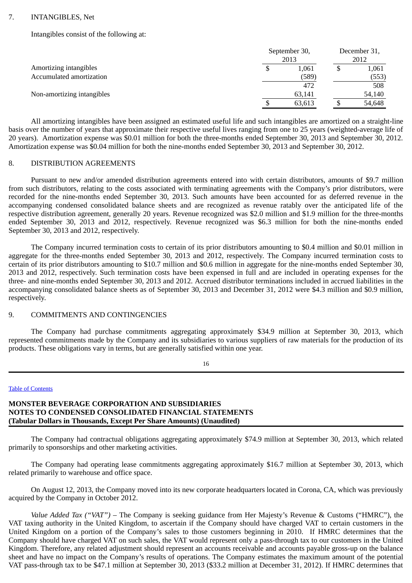## 7. INTANGIBLES, Net

Intangibles consist of the following at:

|                            |   | September 30,<br>2013 |  |        |
|----------------------------|---|-----------------------|--|--------|
| Amortizing intangibles     | J | 1,061                 |  | 1,061  |
| Accumulated amortization   |   | (589)                 |  | (553)  |
|                            |   | 472                   |  | 508    |
| Non-amortizing intangibles |   | 63,141                |  | 54,140 |
|                            |   | 63,613                |  | 54,648 |

All amortizing intangibles have been assigned an estimated useful life and such intangibles are amortized on a straight-line basis over the number of years that approximate their respective useful lives ranging from one to 25 years (weighted-average life of 20 years). Amortization expense was \$0.01 million for both the three-months ended September 30, 2013 and September 30, 2012. Amortization expense was \$0.04 million for both the nine-months ended September 30, 2013 and September 30, 2012.

### 8. DISTRIBUTION AGREEMENTS

Pursuant to new and/or amended distribution agreements entered into with certain distributors, amounts of \$9.7 million from such distributors, relating to the costs associated with terminating agreements with the Company's prior distributors, were recorded for the nine-months ended September 30, 2013. Such amounts have been accounted for as deferred revenue in the accompanying condensed consolidated balance sheets and are recognized as revenue ratably over the anticipated life of the respective distribution agreement, generally 20 years. Revenue recognized was \$2.0 million and \$1.9 million for the three-months ended September 30, 2013 and 2012, respectively. Revenue recognized was \$6.3 million for both the nine-months ended September 30, 2013 and 2012, respectively.

The Company incurred termination costs to certain of its prior distributors amounting to \$0.4 million and \$0.01 million in aggregate for the three-months ended September 30, 2013 and 2012, respectively. The Company incurred termination costs to certain of its prior distributors amounting to \$10.7 million and \$0.6 million in aggregate for the nine-months ended September 30, 2013 and 2012, respectively. Such termination costs have been expensed in full and are included in operating expenses for the three- and nine-months ended September 30, 2013 and 2012. Accrued distributor terminations included in accrued liabilities in the accompanying consolidated balance sheets as of September 30, 2013 and December 31, 2012 were \$4.3 million and \$0.9 million, respectively.

### 9. COMMITMENTS AND CONTINGENCIES

The Company had purchase commitments aggregating approximately \$34.9 million at September 30, 2013, which represented commitments made by the Company and its subsidiaries to various suppliers of raw materials for the production of its products. These obligations vary in terms, but are generally satisfied within one year.

16

### Table of [Contents](#page-0-0)

### **MONSTER BEVERAGE CORPORATION AND SUBSIDIARIES NOTES TO CONDENSED CONSOLIDATED FINANCIAL STATEMENTS (Tabular Dollars in Thousands, Except Per Share Amounts) (Unaudited)**

The Company had contractual obligations aggregating approximately \$74.9 million at September 30, 2013, which related primarily to sponsorships and other marketing activities.

The Company had operating lease commitments aggregating approximately \$16.7 million at September 30, 2013, which related primarily to warehouse and office space.

On August 12, 2013, the Company moved into its new corporate headquarters located in Corona, CA, which was previously acquired by the Company in October 2012.

*Value Added Tax ("VAT")* – The Company is seeking guidance from Her Majesty's Revenue & Customs ("HMRC"), the VAT taxing authority in the United Kingdom, to ascertain if the Company should have charged VAT to certain customers in the United Kingdom on a portion of the Company's sales to those customers beginning in 2010. If HMRC determines that the Company should have charged VAT on such sales, the VAT would represent only a pass-through tax to our customers in the United Kingdom. Therefore, any related adjustment should represent an accounts receivable and accounts payable gross-up on the balance sheet and have no impact on the Company's results of operations. The Company estimates the maximum amount of the potential VAT pass-through tax to be \$47.1 million at September 30, 2013 (\$33.2 million at December 31, 2012). If HMRC determines that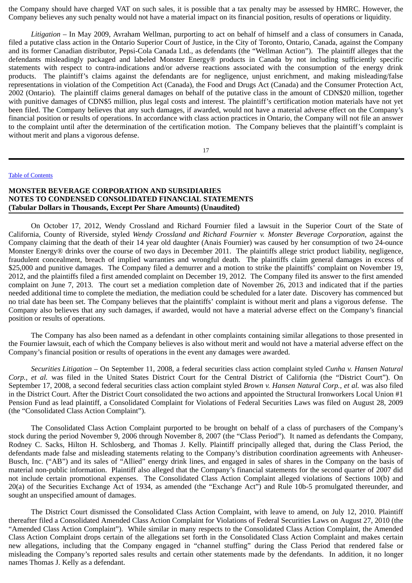the Company should have charged VAT on such sales, it is possible that a tax penalty may be assessed by HMRC. However, the Company believes any such penalty would not have a material impact on its financial position, results of operations or liquidity.

*Litigation* – In May 2009, Avraham Wellman, purporting to act on behalf of himself and a class of consumers in Canada, filed a putative class action in the Ontario Superior Court of Justice, in the City of Toronto, Ontario, Canada, against the Company and its former Canadian distributor, Pepsi-Cola Canada Ltd., as defendants (the "Wellman Action"). The plaintiff alleges that the defendants misleadingly packaged and labeled Monster Energy® products in Canada by not including sufficiently specific statements with respect to contra-indications and/or adverse reactions associated with the consumption of the energy drink products. The plaintiff's claims against the defendants are for negligence, unjust enrichment, and making misleading/false representations in violation of the Competition Act (Canada), the Food and Drugs Act (Canada) and the Consumer Protection Act, 2002 (Ontario). The plaintiff claims general damages on behalf of the putative class in the amount of CDN\$20 million, together with punitive damages of CDN\$5 million, plus legal costs and interest. The plaintiff's certification motion materials have not yet been filed. The Company believes that any such damages, if awarded, would not have a material adverse effect on the Company's financial position or results of operations. In accordance with class action practices in Ontario, the Company will not file an answer to the complaint until after the determination of the certification motion. The Company believes that the plaintiff's complaint is without merit and plans a vigorous defense.

17

#### Table of [Contents](#page-0-0)

## **MONSTER BEVERAGE CORPORATION AND SUBSIDIARIES NOTES TO CONDENSED CONSOLIDATED FINANCIAL STATEMENTS (Tabular Dollars in Thousands, Except Per Share Amounts) (Unaudited)**

On October 17, 2012, Wendy Crossland and Richard Fournier filed a lawsuit in the Superior Court of the State of California, County of Riverside, styled *Wendy Crossland and Richard Fournier v. Monster Beverage Corporation*, against the Company claiming that the death of their 14 year old daughter (Anais Fournier) was caused by her consumption of two 24-ounce Monster Energy® drinks over the course of two days in December 2011. The plaintiffs allege strict product liability, negligence, fraudulent concealment, breach of implied warranties and wrongful death. The plaintiffs claim general damages in excess of \$25,000 and punitive damages. The Company filed a demurrer and a motion to strike the plaintiffs' complaint on November 19, 2012, and the plaintiffs filed a first amended complaint on December 19, 2012. The Company filed its answer to the first amended complaint on June 7, 2013. The court set a mediation completion date of November 26, 2013 and indicated that if the parties needed additional time to complete the mediation, the mediation could be scheduled for a later date. Discovery has commenced but no trial date has been set. The Company believes that the plaintiffs' complaint is without merit and plans a vigorous defense. The Company also believes that any such damages, if awarded, would not have a material adverse effect on the Company's financial position or results of operations.

The Company has also been named as a defendant in other complaints containing similar allegations to those presented in the Fournier lawsuit, each of which the Company believes is also without merit and would not have a material adverse effect on the Company's financial position or results of operations in the event any damages were awarded.

*Securities Litigation* – On September 11, 2008, a federal securities class action complaint styled *Cunha v. Hansen Natural Corp., et al.* was filed in the United States District Court for the Central District of California (the "District Court"). On September 17, 2008, a second federal securities class action complaint styled *Brown v. Hansen Natural Corp., et al.* was also filed in the District Court. After the District Court consolidated the two actions and appointed the Structural Ironworkers Local Union #1 Pension Fund as lead plaintiff, a Consolidated Complaint for Violations of Federal Securities Laws was filed on August 28, 2009 (the "Consolidated Class Action Complaint").

The Consolidated Class Action Complaint purported to be brought on behalf of a class of purchasers of the Company's stock during the period November 9, 2006 through November 8, 2007 (the "Class Period"). It named as defendants the Company, Rodney C. Sacks, Hilton H. Schlosberg, and Thomas J. Kelly. Plaintiff principally alleged that, during the Class Period, the defendants made false and misleading statements relating to the Company's distribution coordination agreements with Anheuser-Busch, Inc. ("AB") and its sales of "Allied" energy drink lines, and engaged in sales of shares in the Company on the basis of material non-public information. Plaintiff also alleged that the Company's financial statements for the second quarter of 2007 did not include certain promotional expenses. The Consolidated Class Action Complaint alleged violations of Sections 10(b) and 20(a) of the Securities Exchange Act of 1934, as amended (the "Exchange Act") and Rule 10b-5 promulgated thereunder, and sought an unspecified amount of damages.

The District Court dismissed the Consolidated Class Action Complaint, with leave to amend, on July 12, 2010. Plaintiff thereafter filed a Consolidated Amended Class Action Complaint for Violations of Federal Securities Laws on August 27, 2010 (the "Amended Class Action Complaint"). While similar in many respects to the Consolidated Class Action Complaint, the Amended Class Action Complaint drops certain of the allegations set forth in the Consolidated Class Action Complaint and makes certain new allegations, including that the Company engaged in "channel stuffing" during the Class Period that rendered false or misleading the Company's reported sales results and certain other statements made by the defendants. In addition, it no longer names Thomas J. Kelly as a defendant.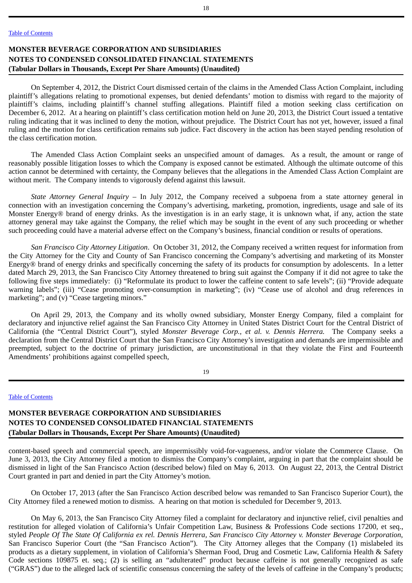### Table of [Contents](#page-0-0)

## **MONSTER BEVERAGE CORPORATION AND SUBSIDIARIES NOTES TO CONDENSED CONSOLIDATED FINANCIAL STATEMENTS (Tabular Dollars in Thousands, Except Per Share Amounts) (Unaudited)**

On September 4, 2012, the District Court dismissed certain of the claims in the Amended Class Action Complaint, including plaintiff's allegations relating to promotional expenses, but denied defendants' motion to dismiss with regard to the majority of plaintiff's claims, including plaintiff's channel stuffing allegations. Plaintiff filed a motion seeking class certification on December 6, 2012. At a hearing on plaintiff's class certification motion held on June 20, 2013, the District Court issued a tentative ruling indicating that it was inclined to deny the motion, without prejudice. The District Court has not yet, however, issued a final ruling and the motion for class certification remains sub judice. Fact discovery in the action has been stayed pending resolution of the class certification motion.

The Amended Class Action Complaint seeks an unspecified amount of damages. As a result, the amount or range of reasonably possible litigation losses to which the Company is exposed cannot be estimated. Although the ultimate outcome of this action cannot be determined with certainty, the Company believes that the allegations in the Amended Class Action Complaint are without merit. The Company intends to vigorously defend against this lawsuit.

*State Attorney General Inquiry* – In July 2012, the Company received a subpoena from a state attorney general in connection with an investigation concerning the Company's advertising, marketing, promotion, ingredients, usage and sale of its Monster Energy® brand of energy drinks. As the investigation is in an early stage, it is unknown what, if any, action the state attorney general may take against the Company, the relief which may be sought in the event of any such proceeding or whether such proceeding could have a material adverse effect on the Company's business, financial condition or results of operations.

*San Francisco City Attorney Litigation*. On October 31, 2012, the Company received a written request for information from the City Attorney for the City and County of San Francisco concerning the Company's advertising and marketing of its Monster Energy® brand of energy drinks and specifically concerning the safety of its products for consumption by adolescents. In a letter dated March 29, 2013, the San Francisco City Attorney threatened to bring suit against the Company if it did not agree to take the following five steps immediately: (i) "Reformulate its product to lower the caffeine content to safe levels"; (ii) "Provide adequate warning labels"; (iii) "Cease promoting over-consumption in marketing"; (iv) "Cease use of alcohol and drug references in marketing"; and (v) "Cease targeting minors."

On April 29, 2013, the Company and its wholly owned subsidiary, Monster Energy Company, filed a complaint for declaratory and injunctive relief against the San Francisco City Attorney in United States District Court for the Central District of California (the "Central District Court"), styled *Monster Beverage Corp., et al. v. Dennis Herrera.* The Company seeks a declaration from the Central District Court that the San Francisco City Attorney's investigation and demands are impermissible and preempted, subject to the doctrine of primary jurisdiction, are unconstitutional in that they violate the First and Fourteenth Amendments' prohibitions against compelled speech,

19

### Table of [Contents](#page-0-0)

## **MONSTER BEVERAGE CORPORATION AND SUBSIDIARIES NOTES TO CONDENSED CONSOLIDATED FINANCIAL STATEMENTS (Tabular Dollars in Thousands, Except Per Share Amounts) (Unaudited)**

content-based speech and commercial speech, are impermissibly void-for-vagueness, and/or violate the Commerce Clause. On June 3, 2013, the City Attorney filed a motion to dismiss the Company's complaint, arguing in part that the complaint should be dismissed in light of the San Francisco Action (described below) filed on May 6, 2013. On August 22, 2013, the Central District Court granted in part and denied in part the City Attorney's motion.

On October 17, 2013 (after the San Francisco Action described below was remanded to San Francisco Superior Court), the City Attorney filed a renewed motion to dismiss. A hearing on that motion is scheduled for December 9, 2013.

On May 6, 2013, the San Francisco City Attorney filed a complaint for declaratory and injunctive relief, civil penalties and restitution for alleged violation of California's Unfair Competition Law, Business & Professions Code sections 17200, et seq., styled *People Of The State Of California ex rel. Dennis Herrera, San Francisco City Attorney v. Monster Beverage Corporation*, San Francisco Superior Court (the "San Francisco Action"). The City Attorney alleges that the Company (1) mislabeled its products as a dietary supplement, in violation of California's Sherman Food, Drug and Cosmetic Law, California Health & Safety Code sections 109875 et. seq.; (2) is selling an "adulterated" product because caffeine is not generally recognized as safe ("GRAS") due to the alleged lack of scientific consensus concerning the safety of the levels of caffeine in the Company's products;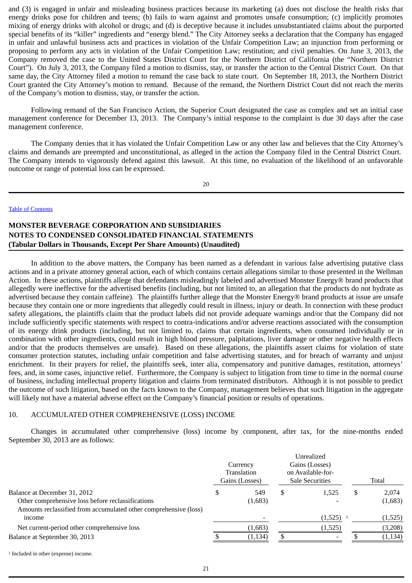and (3) is engaged in unfair and misleading business practices because its marketing (a) does not disclose the health risks that energy drinks pose for children and teens; (b) fails to warn against and promotes unsafe consumption; (c) implicitly promotes mixing of energy drinks with alcohol or drugs; and (d) is deceptive because it includes unsubstantiated claims about the purported special benefits of its "killer" ingredients and "energy blend." The City Attorney seeks a declaration that the Company has engaged in unfair and unlawful business acts and practices in violation of the Unfair Competition Law; an injunction from performing or proposing to perform any acts in violation of the Unfair Competition Law; restitution; and civil penalties. On June 3, 2013, the Company removed the case to the United States District Court for the Northern District of California (the "Northern District Court"). On July 3, 2013, the Company filed a motion to dismiss, stay, or transfer the action to the Central District Court. On that same day, the City Attorney filed a motion to remand the case back to state court. On September 18, 2013, the Northern District Court granted the City Attorney's motion to remand. Because of the remand, the Northern District Court did not reach the merits of the Company's motion to dismiss, stay, or transfer the action.

Following remand of the San Francisco Action, the Superior Court designated the case as complex and set an initial case management conference for December 13, 2013. The Company's initial response to the complaint is due 30 days after the case management conference.

The Company denies that it has violated the Unfair Competition Law or any other law and believes that the City Attorney's claims and demands are preempted and unconstitutional, as alleged in the action the Company filed in the Central District Court. The Company intends to vigorously defend against this lawsuit. At this time, no evaluation of the likelihood of an unfavorable outcome or range of potential loss can be expressed.

20

#### Table of [Contents](#page-0-0)

## **MONSTER BEVERAGE CORPORATION AND SUBSIDIARIES NOTES TO CONDENSED CONSOLIDATED FINANCIAL STATEMENTS (Tabular Dollars in Thousands, Except Per Share Amounts) (Unaudited)**

In addition to the above matters, the Company has been named as a defendant in various false advertising putative class actions and in a private attorney general action, each of which contains certain allegations similar to those presented in the Wellman Action. In these actions, plaintiffs allege that defendants misleadingly labeled and advertised Monster Energy® brand products that allegedly were ineffective for the advertised benefits (including, but not limited to, an allegation that the products do not hydrate as advertised because they contain caffeine). The plaintiffs further allege that the Monster Energy® brand products at issue are unsafe because they contain one or more ingredients that allegedly could result in illness, injury or death. In connection with these product safety allegations, the plaintiffs claim that the product labels did not provide adequate warnings and/or that the Company did not include sufficiently specific statements with respect to contra-indications and/or adverse reactions associated with the consumption of its energy drink products (including, but not limited to, claims that certain ingredients, when consumed individually or in combination with other ingredients, could result in high blood pressure, palpitations, liver damage or other negative health effects and/or that the products themselves are unsafe). Based on these allegations, the plaintiffs assert claims for violation of state consumer protection statutes, including unfair competition and false advertising statutes, and for breach of warranty and unjust enrichment. In their prayers for relief, the plaintiffs seek, inter alia, compensatory and punitive damages, restitution, attorneys' fees, and, in some cases, injunctive relief. Furthermore, the Company is subject to litigation from time to time in the normal course of business, including intellectual property litigation and claims from terminated distributors. Although it is not possible to predict the outcome of such litigation, based on the facts known to the Company, management believes that such litigation in the aggregate will likely not have a material adverse effect on the Company's financial position or results of operations.

## 10. ACCUMULATED OTHER COMPREHENSIVE (LOSS) INCOME

Changes in accumulated other comprehensive (loss) income by component, after tax, for the nine-months ended September 30, 2013 are as follows:

|                                                                  | Currency<br>Translation<br>Gains (Losses) | Unrealized<br>Gains (Losses)<br>on Available-for-<br><b>Sale Securities</b> |   | Total    |
|------------------------------------------------------------------|-------------------------------------------|-----------------------------------------------------------------------------|---|----------|
|                                                                  |                                           |                                                                             |   |          |
| Balance at December 31, 2012                                     | 549                                       | 1,525                                                                       | S | 2,074    |
| Other comprehensive loss before reclassifications                | (1,683)                                   |                                                                             |   | (1,683)  |
| Amounts reclassified from accumulated other comprehensive (loss) |                                           |                                                                             |   |          |
| income                                                           |                                           | (1,525)                                                                     |   | (1,525)  |
| Net current-period other comprehensive loss                      | (1,683)                                   | (1,525)                                                                     |   | (3,208)  |
| Balance at September 30, 2013                                    | (1, 134)                                  |                                                                             |   | (1, 134) |
|                                                                  |                                           |                                                                             |   |          |

<sup>1</sup> Included in other (expense) income.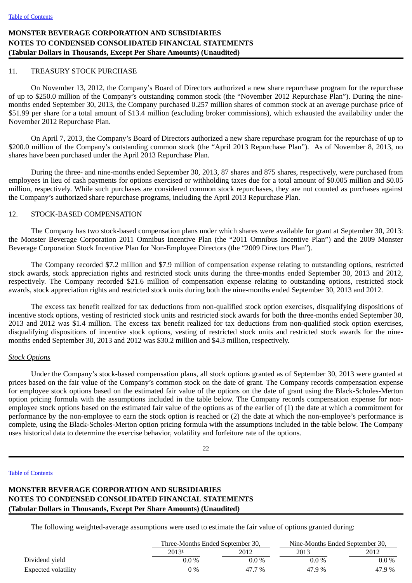## **MONSTER BEVERAGE CORPORATION AND SUBSIDIARIES NOTES TO CONDENSED CONSOLIDATED FINANCIAL STATEMENTS (Tabular Dollars in Thousands, Except Per Share Amounts) (Unaudited)**

### 11. TREASURY STOCK PURCHASE

On November 13, 2012, the Company's Board of Directors authorized a new share repurchase program for the repurchase of up to \$250.0 million of the Company's outstanding common stock (the "November 2012 Repurchase Plan"). During the ninemonths ended September 30, 2013, the Company purchased 0.257 million shares of common stock at an average purchase price of \$51.99 per share for a total amount of \$13.4 million (excluding broker commissions), which exhausted the availability under the November 2012 Repurchase Plan.

On April 7, 2013, the Company's Board of Directors authorized a new share repurchase program for the repurchase of up to \$200.0 million of the Company's outstanding common stock (the "April 2013 Repurchase Plan"). As of November 8, 2013, no shares have been purchased under the April 2013 Repurchase Plan.

During the three- and nine-months ended September 30, 2013, 87 shares and 875 shares, respectively, were purchased from employees in lieu of cash payments for options exercised or withholding taxes due for a total amount of \$0.005 million and \$0.05 million, respectively. While such purchases are considered common stock repurchases, they are not counted as purchases against the Company's authorized share repurchase programs, including the April 2013 Repurchase Plan.

### 12. STOCK-BASED COMPENSATION

The Company has two stock-based compensation plans under which shares were available for grant at September 30, 2013: the Monster Beverage Corporation 2011 Omnibus Incentive Plan (the "2011 Omnibus Incentive Plan") and the 2009 Monster Beverage Corporation Stock Incentive Plan for Non-Employee Directors (the "2009 Directors Plan").

The Company recorded \$7.2 million and \$7.9 million of compensation expense relating to outstanding options, restricted stock awards, stock appreciation rights and restricted stock units during the three-months ended September 30, 2013 and 2012, respectively. The Company recorded \$21.6 million of compensation expense relating to outstanding options, restricted stock awards, stock appreciation rights and restricted stock units during both the nine-months ended September 30, 2013 and 2012.

The excess tax benefit realized for tax deductions from non-qualified stock option exercises, disqualifying dispositions of incentive stock options, vesting of restricted stock units and restricted stock awards for both the three-months ended September 30, 2013 and 2012 was \$1.4 million. The excess tax benefit realized for tax deductions from non-qualified stock option exercises, disqualifying dispositions of incentive stock options, vesting of restricted stock units and restricted stock awards for the ninemonths ended September 30, 2013 and 2012 was \$30.2 million and \$4.3 million, respectively.

### *Stock Options*

Under the Company's stock-based compensation plans, all stock options granted as of September 30, 2013 were granted at prices based on the fair value of the Company's common stock on the date of grant. The Company records compensation expense for employee stock options based on the estimated fair value of the options on the date of grant using the Black-Scholes-Merton option pricing formula with the assumptions included in the table below. The Company records compensation expense for nonemployee stock options based on the estimated fair value of the options as of the earlier of (1) the date at which a commitment for performance by the non-employee to earn the stock option is reached or (2) the date at which the non-employee's performance is complete, using the Black-Scholes-Merton option pricing formula with the assumptions included in the table below. The Company uses historical data to determine the exercise behavior, volatility and forfeiture rate of the options.

### 22

### Table of [Contents](#page-0-0)

## **MONSTER BEVERAGE CORPORATION AND SUBSIDIARIES NOTES TO CONDENSED CONSOLIDATED FINANCIAL STATEMENTS (Tabular Dollars in Thousands, Except Per Share Amounts) (Unaudited)**

The following weighted-average assumptions were used to estimate the fair value of options granted during:

|                     | Three-Months Ended September 30, |         | Nine-Months Ended September 30, |           |  |  |
|---------------------|----------------------------------|---------|---------------------------------|-----------|--|--|
|                     | 20131                            | 2012    | 2013                            | 2012      |  |  |
| Dividend yield      | $0.0\%$                          | $0.0\%$ | $0.0\%$                         | $0.0\,\%$ |  |  |
| Expected volatility | 0 %                              | 47.7 %  | 47.9%                           | 47.9 %    |  |  |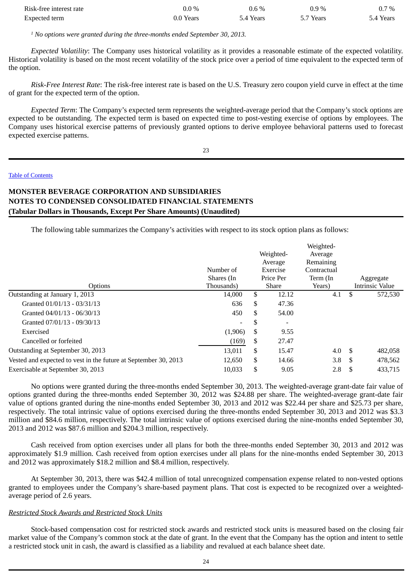| Risk-free interest rate | $0.0\%$   | 0.6 %     | $0.9\%$   | $0.7\%$   |
|-------------------------|-----------|-----------|-----------|-----------|
| Expected term           | 0.0 Years | 5.4 Years | 5.7 Years | 5.4 Years |

*No options were granted during the three-months ended September 30, 2013. 1*

*Expected Volatility*: The Company uses historical volatility as it provides a reasonable estimate of the expected volatility. Historical volatility is based on the most recent volatility of the stock price over a period of time equivalent to the expected term of the option.

*Risk-Free Interest Rate*: The risk-free interest rate is based on the U.S. Treasury zero coupon yield curve in effect at the time of grant for the expected term of the option.

*Expected Term*: The Company's expected term represents the weighted-average period that the Company's stock options are expected to be outstanding. The expected term is based on expected time to post-vesting exercise of options by employees. The Company uses historical exercise patterns of previously granted options to derive employee behavioral patterns used to forecast expected exercise patterns.

### 23

#### Table of [Contents](#page-0-0)

## **MONSTER BEVERAGE CORPORATION AND SUBSIDIARIES NOTES TO CONDENSED CONSOLIDATED FINANCIAL STATEMENTS (Tabular Dollars in Thousands, Except Per Share Amounts) (Unaudited)**

The following table summarizes the Company's activities with respect to its stock option plans as follows:

| Options                                                         | Number of<br>Shares (In<br>Thousands) |    | Weighted-<br>Average<br>Exercise<br>Price Per<br>Share | Weighted-<br>Average<br>Remaining<br>Contractual<br>Term (In<br>Years) |      | Aggregate<br>Intrinsic Value |
|-----------------------------------------------------------------|---------------------------------------|----|--------------------------------------------------------|------------------------------------------------------------------------|------|------------------------------|
| Outstanding at January 1, 2013                                  | 14,000                                | \$ | 12.12                                                  | 4.1                                                                    | S    | 572,530                      |
| Granted 01/01/13 - 03/31/13                                     | 636                                   | \$ | 47.36                                                  |                                                                        |      |                              |
| Granted 04/01/13 - 06/30/13                                     | 450                                   | \$ | 54.00                                                  |                                                                        |      |                              |
| Granted 07/01/13 - 09/30/13                                     | -                                     | S  |                                                        |                                                                        |      |                              |
| Exercised                                                       | (1,906)                               | S  | 9.55                                                   |                                                                        |      |                              |
| Cancelled or forfeited                                          | (169)                                 | \$ | 27.47                                                  |                                                                        |      |                              |
| Outstanding at September 30, 2013                               | 13,011                                | \$ | 15.47                                                  | 4.0                                                                    | - \$ | 482,058                      |
| Vested and expected to vest in the future at September 30, 2013 | 12,650                                | \$ | 14.66                                                  | 3.8                                                                    | - \$ | 478,562                      |
| Exercisable at September 30, 2013                               | 10,033                                | \$ | 9.05                                                   | 2.8                                                                    |      | 433,715                      |

No options were granted during the three-months ended September 30, 2013. The weighted-average grant-date fair value of options granted during the three-months ended September 30, 2012 was \$24.88 per share. The weighted-average grant-date fair value of options granted during the nine-months ended September 30, 2013 and 2012 was \$22.44 per share and \$25.73 per share, respectively. The total intrinsic value of options exercised during the three-months ended September 30, 2013 and 2012 was \$3.3 million and \$84.6 million, respectively. The total intrinsic value of options exercised during the nine-months ended September 30, 2013 and 2012 was \$87.6 million and \$204.3 million, respectively.

Cash received from option exercises under all plans for both the three-months ended September 30, 2013 and 2012 was approximately \$1.9 million. Cash received from option exercises under all plans for the nine-months ended September 30, 2013 and 2012 was approximately \$18.2 million and \$8.4 million, respectively.

At September 30, 2013, there was \$42.4 million of total unrecognized compensation expense related to non-vested options granted to employees under the Company's share-based payment plans. That cost is expected to be recognized over a weightedaverage period of 2.6 years.

### *Restricted Stock Awards and Restricted Stock Units*

Stock-based compensation cost for restricted stock awards and restricted stock units is measured based on the closing fair market value of the Company's common stock at the date of grant. In the event that the Company has the option and intent to settle a restricted stock unit in cash, the award is classified as a liability and revalued at each balance sheet date.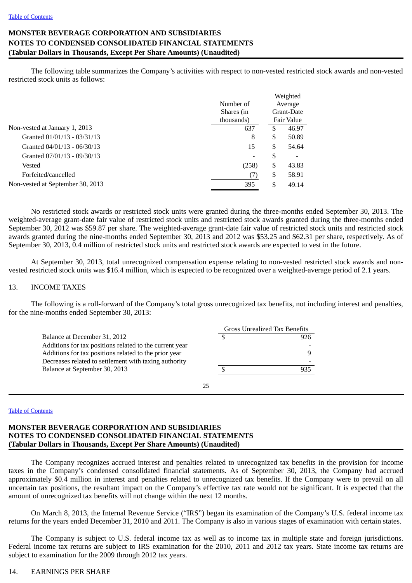## **MONSTER BEVERAGE CORPORATION AND SUBSIDIARIES NOTES TO CONDENSED CONSOLIDATED FINANCIAL STATEMENTS (Tabular Dollars in Thousands, Except Per Share Amounts) (Unaudited)**

The following table summarizes the Company's activities with respect to non-vested restricted stock awards and non-vested restricted stock units as follows:

|                                  |            |    | Weighted   |
|----------------------------------|------------|----|------------|
|                                  | Number of  |    | Average    |
|                                  | Shares (in |    | Grant-Date |
|                                  | thousands) |    | Fair Value |
| Non-vested at January 1, 2013    | 637        | S  | 46.97      |
| Granted 01/01/13 - 03/31/13      | 8          | S  | 50.89      |
| Granted 04/01/13 - 06/30/13      | 15         | \$ | 54.64      |
| Granted 07/01/13 - 09/30/13      |            | \$ |            |
| Vested                           | (258)      | \$ | 43.83      |
| Forfeited/cancelled              | (7)        | \$ | 58.91      |
| Non-vested at September 30, 2013 | 395        | S  | 49.14      |
|                                  |            |    |            |

No restricted stock awards or restricted stock units were granted during the three-months ended September 30, 2013. The weighted-average grant-date fair value of restricted stock units and restricted stock awards granted during the three-months ended September 30, 2012 was \$59.87 per share. The weighted-average grant-date fair value of restricted stock units and restricted stock awards granted during the nine-months ended September 30, 2013 and 2012 was \$53.25 and \$62.31 per share, respectively. As of September 30, 2013, 0.4 million of restricted stock units and restricted stock awards are expected to vest in the future.

At September 30, 2013, total unrecognized compensation expense relating to non-vested restricted stock awards and nonvested restricted stock units was \$16.4 million, which is expected to be recognized over a weighted-average period of 2.1 years.

## 13. INCOME TAXES

The following is a roll-forward of the Company's total gross unrecognized tax benefits, not including interest and penalties, for the nine-months ended September 30, 2013:

|                                                         |    | Gross Unrealized Tax Benefits |
|---------------------------------------------------------|----|-------------------------------|
| Balance at December 31, 2012                            |    | 926                           |
| Additions for tax positions related to the current year |    |                               |
| Additions for tax positions related to the prior year   |    |                               |
| Decreases related to settlement with taxing authority   |    |                               |
| Balance at September 30, 2013                           |    | 935                           |
|                                                         |    |                               |
|                                                         | 25 |                               |

### Table of [Contents](#page-0-0)

## **MONSTER BEVERAGE CORPORATION AND SUBSIDIARIES NOTES TO CONDENSED CONSOLIDATED FINANCIAL STATEMENTS (Tabular Dollars in Thousands, Except Per Share Amounts) (Unaudited)**

The Company recognizes accrued interest and penalties related to unrecognized tax benefits in the provision for income taxes in the Company's condensed consolidated financial statements. As of September 30, 2013, the Company had accrued approximately \$0.4 million in interest and penalties related to unrecognized tax benefits. If the Company were to prevail on all uncertain tax positions, the resultant impact on the Company's effective tax rate would not be significant. It is expected that the amount of unrecognized tax benefits will not change within the next 12 months.

On March 8, 2013, the Internal Revenue Service ("IRS") began its examination of the Company's U.S. federal income tax returns for the years ended December 31, 2010 and 2011. The Company is also in various stages of examination with certain states.

The Company is subject to U.S. federal income tax as well as to income tax in multiple state and foreign jurisdictions. Federal income tax returns are subject to IRS examination for the 2010, 2011 and 2012 tax years. State income tax returns are subject to examination for the 2009 through 2012 tax years.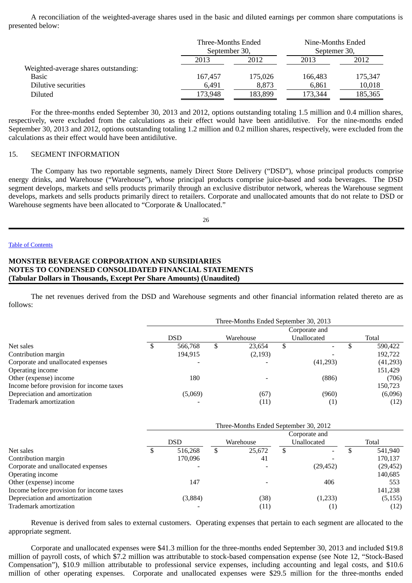A reconciliation of the weighted-average shares used in the basic and diluted earnings per common share computations is presented below:

|                                      | Three-Months Ended<br>September 30, |         | Nine-Months Ended<br>Septemer 30, |         |  |
|--------------------------------------|-------------------------------------|---------|-----------------------------------|---------|--|
|                                      | 2013                                | 2012    | 2013                              | 2012    |  |
| Weighted-average shares outstanding: |                                     |         |                                   |         |  |
| Basic                                | 167,457                             | 175,026 | 166,483                           | 175.347 |  |
| Dilutive securities                  | 6.491                               | 8,873   | 6,861                             | 10,018  |  |
| <b>Diluted</b>                       | 173,948                             | 183,899 | 173,344                           | 185,365 |  |

For the three-months ended September 30, 2013 and 2012, options outstanding totaling 1.5 million and 0.4 million shares, respectively, were excluded from the calculations as their effect would have been antidilutive. For the nine-months ended September 30, 2013 and 2012, options outstanding totaling 1.2 million and 0.2 million shares, respectively, were excluded from the calculations as their effect would have been antidilutive.

### 15. SEGMENT INFORMATION

The Company has two reportable segments, namely Direct Store Delivery ("DSD"), whose principal products comprise energy drinks, and Warehouse ("Warehouse"), whose principal products comprise juice-based and soda beverages. The DSD segment develops, markets and sells products primarily through an exclusive distributor network, whereas the Warehouse segment develops, markets and sells products primarily direct to retailers. Corporate and unallocated amounts that do not relate to DSD or Warehouse segments have been allocated to "Corporate & Unallocated."

26

### Table of [Contents](#page-0-0)

## **MONSTER BEVERAGE CORPORATION AND SUBSIDIARIES NOTES TO CONDENSED CONSOLIDATED FINANCIAL STATEMENTS (Tabular Dollars in Thousands, Except Per Share Amounts) (Unaudited)**

The net revenues derived from the DSD and Warehouse segments and other financial information related thereto are as follows:

|                                          | Three-Months Ended September 30, 2013 |         |   |           |             |                          |       |          |  |
|------------------------------------------|---------------------------------------|---------|---|-----------|-------------|--------------------------|-------|----------|--|
|                                          |                                       |         |   |           |             |                          |       |          |  |
|                                          | <b>DSD</b>                            |         |   | Warehouse | Unallocated |                          | Total |          |  |
| Net sales                                |                                       | 566.768 | S | 23,654    | S           | $\overline{\phantom{a}}$ |       | 590,422  |  |
| Contribution margin                      |                                       | 194,915 |   | (2, 193)  |             |                          |       | 192,722  |  |
| Corporate and unallocated expenses       |                                       |         |   |           |             | (41,293)                 |       | (41,293) |  |
| Operating income                         |                                       |         |   |           |             |                          |       | 151,429  |  |
| Other (expense) income                   |                                       | 180     |   |           |             | (886)                    |       | (706)    |  |
| Income before provision for income taxes |                                       |         |   |           |             |                          |       | 150,723  |  |
| Depreciation and amortization            |                                       | (5,069) |   | (67)      |             | (960)                    |       | (6,096)  |  |
| Trademark amortization                   |                                       |         |   | (11)      |             | (1)                      |       | (12)     |  |

|                                          | Three-Months Ended September 30, 2012 |            |   |           |   |                |  |           |  |
|------------------------------------------|---------------------------------------|------------|---|-----------|---|----------------|--|-----------|--|
|                                          |                                       |            |   |           |   | Corporate and  |  |           |  |
|                                          |                                       | <b>DSD</b> |   | Warehouse |   | Unallocated    |  | Total     |  |
| Net sales                                |                                       | 516.268    | ъ | 25,672    | ъ | $\blacksquare$ |  | 541,940   |  |
| Contribution margin                      |                                       | 170,096    |   | 41        |   |                |  | 170,137   |  |
| Corporate and unallocated expenses       |                                       |            |   |           |   | (29, 452)      |  | (29, 452) |  |
| Operating income                         |                                       |            |   |           |   |                |  | 140,685   |  |
| Other (expense) income                   |                                       | 147        |   |           |   | 406            |  | 553       |  |
| Income before provision for income taxes |                                       |            |   |           |   |                |  | 141,238   |  |
| Depreciation and amortization            |                                       | (3, 884)   |   | (38)      |   | (1,233)        |  | (5, 155)  |  |
| Trademark amortization                   |                                       |            |   | (11)      |   |                |  | (12)      |  |

Revenue is derived from sales to external customers. Operating expenses that pertain to each segment are allocated to the appropriate segment.

Corporate and unallocated expenses were \$41.3 million for the three-months ended September 30, 2013 and included \$19.8 million of payroll costs, of which \$7.2 million was attributable to stock-based compensation expense (see Note 12, "Stock-Based Compensation"), \$10.9 million attributable to professional service expenses, including accounting and legal costs, and \$10.6 million of other operating expenses. Corporate and unallocated expenses were \$29.5 million for the three-months ended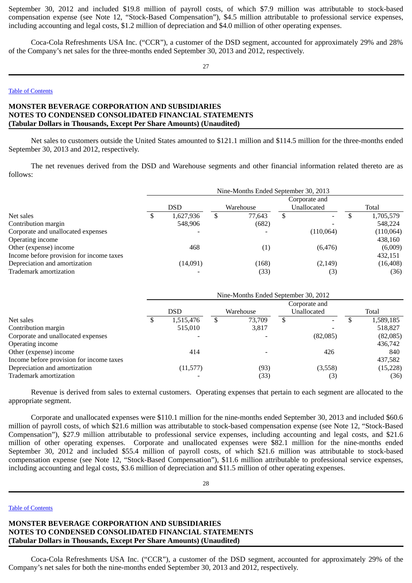September 30, 2012 and included \$19.8 million of payroll costs, of which \$7.9 million was attributable to stock-based compensation expense (see Note 12, "Stock-Based Compensation"), \$4.5 million attributable to professional service expenses, including accounting and legal costs, \$1.2 million of depreciation and \$4.0 million of other operating expenses.

Coca-Cola Refreshments USA Inc. ("CCR"), a customer of the DSD segment, accounted for approximately 29% and 28% of the Company's net sales for the three-months ended September 30, 2013 and 2012, respectively.

27

### Table of [Contents](#page-0-0)

## **MONSTER BEVERAGE CORPORATION AND SUBSIDIARIES NOTES TO CONDENSED CONSOLIDATED FINANCIAL STATEMENTS (Tabular Dollars in Thousands, Except Per Share Amounts) (Unaudited)**

Net sales to customers outside the United States amounted to \$121.1 million and \$114.5 million for the three-months ended September 30, 2013 and 2012, respectively.

The net revenues derived from the DSD and Warehouse segments and other financial information related thereto are as follows:

|                                          | Nine-Months Ended September 30, 2013 |           |  |           |             |                          |       |            |
|------------------------------------------|--------------------------------------|-----------|--|-----------|-------------|--------------------------|-------|------------|
|                                          |                                      |           |  |           |             | Corporate and            |       |            |
|                                          | <b>DSD</b>                           |           |  | Warehouse | Unallocated |                          | Total |            |
| Net sales                                |                                      | 1,627,936 |  | 77.643    | S           | $\overline{\phantom{a}}$ |       | 1,705,579  |
| Contribution margin                      |                                      | 548,906   |  | (682)     |             |                          |       | 548,224    |
| Corporate and unallocated expenses       |                                      |           |  |           |             | (110,064)                |       | (110, 064) |
| Operating income                         |                                      |           |  |           |             |                          |       | 438,160    |
| Other (expense) income                   |                                      | 468       |  | (1)       |             | (6, 476)                 |       | (6,009)    |
| Income before provision for income taxes |                                      |           |  |           |             |                          |       | 432,151    |
| Depreciation and amortization            |                                      | (14,091)  |  | (168)     |             | (2, 149)                 |       | (16, 408)  |
| Trademark amortization                   |                                      |           |  | (33)      |             | (3)                      |       | (36)       |

|                                          | Nine-Months Ended September 30, 2012 |           |    |           |             |                |       |           |  |
|------------------------------------------|--------------------------------------|-----------|----|-----------|-------------|----------------|-------|-----------|--|
|                                          | Corporate and                        |           |    |           |             |                |       |           |  |
|                                          | DSD                                  |           |    | Warehouse | Unallocated |                | Total |           |  |
| Net sales                                |                                      | 1,515,476 | ъD | 73,709    | C           | $\blacksquare$ |       | 1,589,185 |  |
| Contribution margin                      |                                      | 515,010   |    | 3,817     |             |                |       | 518,827   |  |
| Corporate and unallocated expenses       |                                      |           |    |           |             | (82,085)       |       | (82,085)  |  |
| Operating income                         |                                      |           |    |           |             |                |       | 436,742   |  |
| Other (expense) income                   |                                      | 414       |    |           |             | 426            |       | 840       |  |
| Income before provision for income taxes |                                      |           |    |           |             |                |       | 437,582   |  |
| Depreciation and amortization            |                                      | (11, 577) |    | (93)      |             | (3,558)        |       | (15, 228) |  |
| Trademark amortization                   |                                      |           |    | (33)      |             | (3)            |       | (36)      |  |

Revenue is derived from sales to external customers. Operating expenses that pertain to each segment are allocated to the appropriate segment.

Corporate and unallocated expenses were \$110.1 million for the nine-months ended September 30, 2013 and included \$60.6 million of payroll costs, of which \$21.6 million was attributable to stock-based compensation expense (see Note 12, "Stock-Based Compensation"), \$27.9 million attributable to professional service expenses, including accounting and legal costs, and \$21.6 million of other operating expenses. Corporate and unallocated expenses were \$82.1 million for the nine-months ended September 30, 2012 and included \$55.4 million of payroll costs, of which \$21.6 million was attributable to stock-based compensation expense (see Note 12, "Stock-Based Compensation"), \$11.6 million attributable to professional service expenses, including accounting and legal costs, \$3.6 million of depreciation and \$11.5 million of other operating expenses.

 $28$ 

#### Table of [Contents](#page-0-0)

**MONSTER BEVERAGE CORPORATION AND SUBSIDIARIES NOTES TO CONDENSED CONSOLIDATED FINANCIAL STATEMENTS (Tabular Dollars in Thousands, Except Per Share Amounts) (Unaudited)**

Coca-Cola Refreshments USA Inc. ("CCR"), a customer of the DSD segment, accounted for approximately 29% of the Company's net sales for both the nine-months ended September 30, 2013 and 2012, respectively.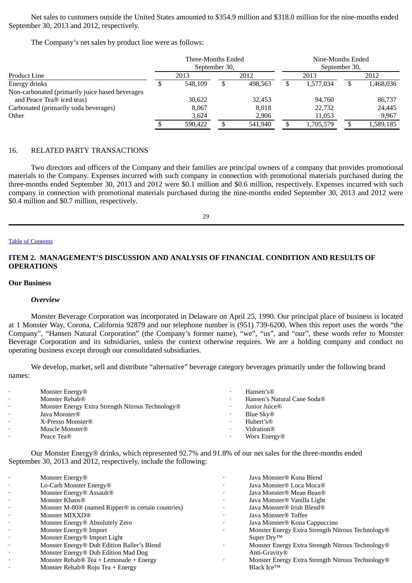Net sales to customers outside the United States amounted to \$354.9 million and \$318.0 million for the nine-months ended September 30, 2013 and 2012, respectively.

The Company's net sales by product line were as follows:

|                                                 | Three-Months Ended<br>September 30, |         |  |         |  | Nine-Months Ended<br>September 30, |      |           |  |
|-------------------------------------------------|-------------------------------------|---------|--|---------|--|------------------------------------|------|-----------|--|
| <b>Product Line</b>                             |                                     | 2013    |  | 2012    |  | 2013                               | 2012 |           |  |
| Energy drinks                                   |                                     | 548.109 |  | 498.563 |  | 1,577,034                          |      | 1,468,036 |  |
| Non-carbonated (primarily juice based beverages |                                     |         |  |         |  |                                    |      |           |  |
| and Peace Tea® iced teas)                       |                                     | 30,622  |  | 32,453  |  | 94,760                             |      | 86,737    |  |
| Carbonated (primarily soda beverages)           |                                     | 8.067   |  | 8.018   |  | 22,732                             |      | 24,445    |  |
| Other                                           |                                     | 3.624   |  | 2,906   |  | 11,053                             |      | 9,967     |  |
|                                                 |                                     | 590.422 |  | 541,940 |  | 1,705,579                          |      | 1,589,185 |  |

## 16. RELATED PARTY TRANSACTIONS

Two directors and officers of the Company and their families are principal owners of a company that provides promotional materials to the Company. Expenses incurred with such company in connection with promotional materials purchased during the three-months ended September 30, 2013 and 2012 were \$0.1 million and \$0.6 million, respectively. Expenses incurred with such company in connection with promotional materials purchased during the nine-months ended September 30, 2013 and 2012 were \$0.4 million and \$0.7 million, respectively.

<span id="page-19-0"></span>29

### Table of [Contents](#page-0-0)

## **ITEM 2. MANAGEMENT'S DISCUSSION AND ANALYSIS OF FINANCIAL CONDITION AND RESULTS OF OPERATIONS**

### **Our Business**

### *Overview*

Monster Beverage Corporation was incorporated in Delaware on April 25, 1990. Our principal place of business is located at 1 Monster Way, Corona, California 92879 and our telephone number is (951) 739-6200. When this report uses the words "the Company", "Hansen Natural Corporation" (the Company's former name), "we", "us", and "our", these words refer to Monster Beverage Corporation and its subsidiaries, unless the context otherwise requires. We are a holding company and conduct no operating business except through our consolidated subsidiaries.

We develop, market, sell and distribute "alternative" beverage category beverages primarily under the following brand names:

| $\cdot$   | Monster Energy <sup>®</sup>                       | Hansen's®                               |
|-----------|---------------------------------------------------|-----------------------------------------|
| $\bullet$ | Monster Rehab <sup>®</sup>                        | Hansen's Natural Cane Soda <sup>®</sup> |
| $\bullet$ | Monster Energy Extra Strength Nitrous Technology® | Junior Juice <sup>®</sup>               |
| $\cdot$   | Java Monster®                                     | <b>Blue Sky</b> <sup>®</sup>            |
| $\bullet$ | X-Presso Monster <sup>®</sup>                     | Hubert's <sup>®</sup>                   |
|           | Muscle Monster®                                   | Vidration®                              |
|           | Peace Tea®                                        | Worx Energy <sup>®</sup>                |

Our Monster Energy® drinks, which represented 92.7% and 91.8% of our net sales for the three-months ended September 30, 2013 and 2012, respectively, include the following:

|           | Monster Energy®                                                            | Java Monster® Kona Blend                          |
|-----------|----------------------------------------------------------------------------|---------------------------------------------------|
| ٠         | Lo-Carb Monster Energy®                                                    | Java Monster® Loca Moca®                          |
| $\bullet$ | Monster Energy® Assault®                                                   | Java Monster® Mean Bean®                          |
|           | Monster Khaos <sup>®</sup>                                                 | Java Monster <sup>®</sup> Vanilla Light           |
| $\bullet$ | Monster M-80 <sup>®</sup> (named Ripper <sup>®</sup> in certain countries) | Java Monster® Irish Blend®                        |
| $\bullet$ | Monster MIXXD®                                                             | Java Monster® Toffee                              |
| $\bullet$ | Monster Energy® Absolutely Zero                                            | Java Monster® Kona Cappuccino                     |
| ٠         | Monster Energy® Import                                                     | Monster Energy Extra Strength Nitrous Technology® |
| $\bullet$ | Monster Energy® Import Light                                               | Super $Drv^{TM}$                                  |
|           | Monster Energy® Dub Edition Baller's Blend                                 | Monster Energy Extra Strength Nitrous Technology® |
| $\bullet$ | Monster Energy® Dub Edition Mad Dog                                        | Anti-Gravity <sup>®</sup>                         |
| $\bullet$ | Monster Rehab <sup>®</sup> Tea + Lemonade + Energy                         | Monster Energy Extra Strength Nitrous Technology® |
| ٠         | Monster Rehab <sup>®</sup> Rojo Tea + Energy                               | Black Ice <sup>TM</sup>                           |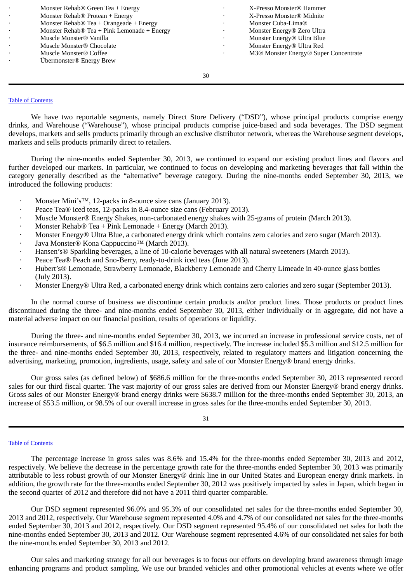| Monster Rehab <sup>®</sup> Green Tea + Energy           | X-Presso Monster® Hammer              |
|---------------------------------------------------------|---------------------------------------|
| Monster Rehab <sup>®</sup> Protean + Energy             | X-Presso Monster® Midnite             |
| Monster Rehab $\mathcal D$ Tea + Orangeade + Energy     | Monster Cuba-Lima®                    |
| Monster Rehab <sup>®</sup> Tea + Pink Lemonade + Energy | Monster Energy® Zero Ultra            |
| Muscle Monster® Vanilla                                 | Monster Energy® Ultra Blue            |
| Muscle Monster® Chocolate                               | Monster Energy® Ultra Red             |
| Muscle Monster® Coffee                                  | M3® Monster Energy® Super Concentrate |
| Übermonster® Energy Brew                                |                                       |
|                                                         |                                       |

30

#### Table of [Contents](#page-0-0)

We have two reportable segments, namely Direct Store Delivery ("DSD"), whose principal products comprise energy drinks, and Warehouse ("Warehouse"), whose principal products comprise juice-based and soda beverages. The DSD segment develops, markets and sells products primarily through an exclusive distributor network, whereas the Warehouse segment develops, markets and sells products primarily direct to retailers.

During the nine-months ended September 30, 2013, we continued to expand our existing product lines and flavors and further developed our markets. In particular, we continued to focus on developing and marketing beverages that fall within the category generally described as the "alternative" beverage category. During the nine-months ended September 30, 2013, we introduced the following products:

- · Monster Mini's™, 12-packs in 8-ounce size cans (January 2013).
- · Peace Tea® iced teas, 12-packs in 8.4-ounce size cans (February 2013).
- · Muscle Monster® Energy Shakes, non-carbonated energy shakes with 25-grams of protein (March 2013).
- · Monster Rehab® Tea + Pink Lemonade + Energy (March 2013).
- · Monster Energy® Ultra Blue, a carbonated energy drink which contains zero calories and zero sugar (March 2013).
- · Java Monster® Kona Cappuccino™ (March 2013).
- · Hansen's® Sparkling beverages, a line of 10-calorie beverages with all natural sweeteners (March 2013).
- Peace Tea® Peach and Sno-Berry, ready-to-drink iced teas (June 2013).
- Hubert's® Lemonade, Strawberry Lemonade, Blackberry Lemonade and Cherry Limeade in 40-ounce glass bottles (July 2013).
- · Monster Energy® Ultra Red, a carbonated energy drink which contains zero calories and zero sugar (September 2013).

In the normal course of business we discontinue certain products and/or product lines. Those products or product lines discontinued during the three- and nine-months ended September 30, 2013, either individually or in aggregate, did not have a material adverse impact on our financial position, results of operations or liquidity.

During the three- and nine-months ended September 30, 2013, we incurred an increase in professional service costs, net of insurance reimbursements, of \$6.5 million and \$16.4 million, respectively. The increase included \$5.3 million and \$12.5 million for the three- and nine-months ended September 30, 2013, respectively, related to regulatory matters and litigation concerning the advertising, marketing, promotion, ingredients, usage, safety and sale of our Monster Energy® brand energy drinks.

Our gross sales (as defined below) of \$686.6 million for the three-months ended September 30, 2013 represented record sales for our third fiscal quarter. The vast majority of our gross sales are derived from our Monster Energy® brand energy drinks. Gross sales of our Monster Energy® brand energy drinks were \$638.7 million for the three-months ended September 30, 2013, an increase of \$53.5 million, or 98.5% of our overall increase in gross sales for the three-months ended September 30, 2013.

### 31

### Table of [Contents](#page-0-0)

The percentage increase in gross sales was 8.6% and 15.4% for the three-months ended September 30, 2013 and 2012, respectively. We believe the decrease in the percentage growth rate for the three-months ended September 30, 2013 was primarily attributable to less robust growth of our Monster Energy® drink line in our United States and European energy drink markets. In addition, the growth rate for the three-months ended September 30, 2012 was positively impacted by sales in Japan, which began in the second quarter of 2012 and therefore did not have a 2011 third quarter comparable.

Our DSD segment represented 96.0% and 95.3% of our consolidated net sales for the three-months ended September 30, 2013 and 2012, respectively. Our Warehouse segment represented 4.0% and 4.7% of our consolidated net sales for the three-months ended September 30, 2013 and 2012, respectively. Our DSD segment represented 95.4% of our consolidated net sales for both the nine-months ended September 30, 2013 and 2012. Our Warehouse segment represented 4.6% of our consolidated net sales for both the nine-months ended September 30, 2013 and 2012.

Our sales and marketing strategy for all our beverages is to focus our efforts on developing brand awareness through image enhancing programs and product sampling. We use our branded vehicles and other promotional vehicles at events where we offer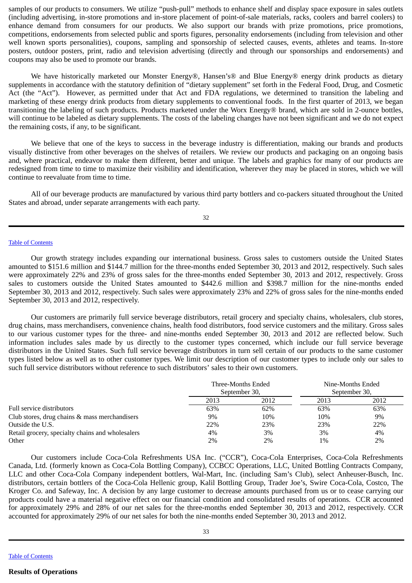samples of our products to consumers. We utilize "push-pull" methods to enhance shelf and display space exposure in sales outlets (including advertising, in-store promotions and in-store placement of point-of-sale materials, racks, coolers and barrel coolers) to enhance demand from consumers for our products. We also support our brands with prize promotions, price promotions, competitions, endorsements from selected public and sports figures, personality endorsements (including from television and other well known sports personalities), coupons, sampling and sponsorship of selected causes, events, athletes and teams. In-store posters, outdoor posters, print, radio and television advertising (directly and through our sponsorships and endorsements) and coupons may also be used to promote our brands.

We have historically marketed our Monster Energy®, Hansen's® and Blue Energy® energy drink products as dietary supplements in accordance with the statutory definition of "dietary supplement" set forth in the Federal Food, Drug, and Cosmetic Act (the "Act"). However, as permitted under that Act and FDA regulations, we determined to transition the labeling and marketing of these energy drink products from dietary supplements to conventional foods. In the first quarter of 2013, we began transitioning the labeling of such products. Products marketed under the Worx Energy® brand, which are sold in 2-ounce bottles, will continue to be labeled as dietary supplements. The costs of the labeling changes have not been significant and we do not expect the remaining costs, if any, to be significant.

We believe that one of the keys to success in the beverage industry is differentiation, making our brands and products visually distinctive from other beverages on the shelves of retailers. We review our products and packaging on an ongoing basis and, where practical, endeavor to make them different, better and unique. The labels and graphics for many of our products are redesigned from time to time to maximize their visibility and identification, wherever they may be placed in stores, which we will continue to reevaluate from time to time.

All of our beverage products are manufactured by various third party bottlers and co-packers situated throughout the United States and abroad, under separate arrangements with each party.

32

#### Table of [Contents](#page-0-0)

Our growth strategy includes expanding our international business. Gross sales to customers outside the United States amounted to \$151.6 million and \$144.7 million for the three-months ended September 30, 2013 and 2012, respectively. Such sales were approximately 22% and 23% of gross sales for the three-months ended September 30, 2013 and 2012, respectively. Gross sales to customers outside the United States amounted to \$442.6 million and \$398.7 million for the nine-months ended September 30, 2013 and 2012, respectively. Such sales were approximately 23% and 22% of gross sales for the nine-months ended September 30, 2013 and 2012, respectively.

Our customers are primarily full service beverage distributors, retail grocery and specialty chains, wholesalers, club stores, drug chains, mass merchandisers, convenience chains, health food distributors, food service customers and the military. Gross sales to our various customer types for the three- and nine-months ended September 30, 2013 and 2012 are reflected below. Such information includes sales made by us directly to the customer types concerned, which include our full service beverage distributors in the United States. Such full service beverage distributors in turn sell certain of our products to the same customer types listed below as well as to other customer types. We limit our description of our customer types to include only our sales to such full service distributors without reference to such distributors' sales to their own customers.

|                                                  |               | Three-Months Ended |               | Nine-Months Ended |
|--------------------------------------------------|---------------|--------------------|---------------|-------------------|
|                                                  | September 30, |                    | September 30, |                   |
|                                                  | 2013          | 2012               | 2013          | 2012              |
| Full service distributors                        | 63%           | 62%                | 63%           | 63%               |
| Club stores, drug chains & mass merchandisers    | 9%            | 10%                | 10%           | 9%                |
| Outside the U.S.                                 | 22%           | 23%                | 23%           | 22%               |
| Retail grocery, specialty chains and wholesalers | 4%            | 3%                 | 3%            | 4%                |
| Other                                            | 2%            | 2%                 | 1%            | 2%                |

Our customers include Coca-Cola Refreshments USA Inc. ("CCR"), Coca-Cola Enterprises, Coca-Cola Refreshments Canada, Ltd. (formerly known as Coca-Cola Bottling Company), CCBCC Operations, LLC, United Bottling Contracts Company, LLC and other Coca-Cola Company independent bottlers, Wal-Mart, Inc. (including Sam's Club), select Anheuser-Busch, Inc. distributors, certain bottlers of the Coca-Cola Hellenic group, Kalil Bottling Group, Trader Joe's, Swire Coca-Cola, Costco, The Kroger Co. and Safeway, Inc. A decision by any large customer to decrease amounts purchased from us or to cease carrying our products could have a material negative effect on our financial condition and consolidated results of operations. CCR accounted for approximately 29% and 28% of our net sales for the three-months ended September 30, 2013 and 2012, respectively. CCR accounted for approximately 29% of our net sales for both the nine-months ended September 30, 2013 and 2012.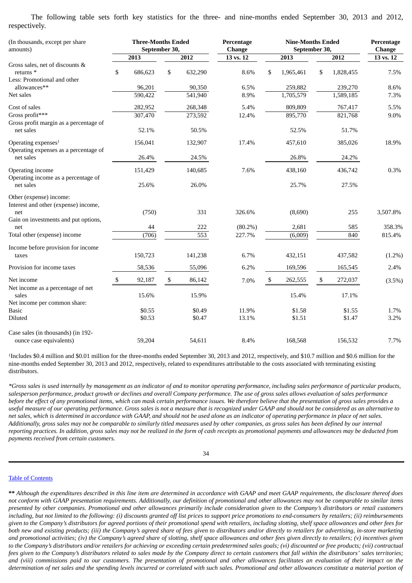The following table sets forth key statistics for the three- and nine-months ended September 30, 2013 and 2012, respectively.

| September 30,<br>September 30,<br>amounts)<br><b>Change</b><br>2012<br>2013<br>13 vs. 12<br>2013<br>2012<br>Gross sales, net of discounts &<br>returns <sup>*</sup><br>\$<br>686,623<br>632,290<br>8.6%<br>\$<br>\$<br>1,965,461<br>\$<br>1,828,455<br>Less: Promotional and other<br>allowances**<br>6.5%<br>96,201<br>90,350<br>259,882<br>239,270<br>1,589,185<br>Net sales<br>590,422<br>541,940<br>8.9%<br>1,705,579<br>Cost of sales<br>5.4%<br>809,809<br>282,952<br>268,348<br>767,417<br>Gross profit***<br>307,470<br>273,592<br>12.4%<br>895,770<br>821,768<br>Gross profit margin as a percentage of<br>net sales<br>52.1%<br>50.5%<br>51.7%<br>52.5%<br>17.4%<br>Operating expenses <sup>1</sup><br>156,041<br>132,907<br>457,610<br>385,026<br>Operating expenses as a percentage of<br>net sales<br>26.8%<br>26.4%<br>24.5%<br>24.2%<br>7.6%<br>Operating income<br>151,429<br>140,685<br>438,160<br>436,742<br>Operating income as a percentage of | Percentage<br><b>Change</b> |
|--------------------------------------------------------------------------------------------------------------------------------------------------------------------------------------------------------------------------------------------------------------------------------------------------------------------------------------------------------------------------------------------------------------------------------------------------------------------------------------------------------------------------------------------------------------------------------------------------------------------------------------------------------------------------------------------------------------------------------------------------------------------------------------------------------------------------------------------------------------------------------------------------------------------------------------------------------------------|-----------------------------|
|                                                                                                                                                                                                                                                                                                                                                                                                                                                                                                                                                                                                                                                                                                                                                                                                                                                                                                                                                                    | 13 vs. 12                   |
|                                                                                                                                                                                                                                                                                                                                                                                                                                                                                                                                                                                                                                                                                                                                                                                                                                                                                                                                                                    | 7.5%                        |
|                                                                                                                                                                                                                                                                                                                                                                                                                                                                                                                                                                                                                                                                                                                                                                                                                                                                                                                                                                    | 8.6%                        |
|                                                                                                                                                                                                                                                                                                                                                                                                                                                                                                                                                                                                                                                                                                                                                                                                                                                                                                                                                                    | 7.3%                        |
|                                                                                                                                                                                                                                                                                                                                                                                                                                                                                                                                                                                                                                                                                                                                                                                                                                                                                                                                                                    | 5.5%                        |
|                                                                                                                                                                                                                                                                                                                                                                                                                                                                                                                                                                                                                                                                                                                                                                                                                                                                                                                                                                    | 9.0%                        |
|                                                                                                                                                                                                                                                                                                                                                                                                                                                                                                                                                                                                                                                                                                                                                                                                                                                                                                                                                                    |                             |
|                                                                                                                                                                                                                                                                                                                                                                                                                                                                                                                                                                                                                                                                                                                                                                                                                                                                                                                                                                    | 18.9%                       |
|                                                                                                                                                                                                                                                                                                                                                                                                                                                                                                                                                                                                                                                                                                                                                                                                                                                                                                                                                                    |                             |
|                                                                                                                                                                                                                                                                                                                                                                                                                                                                                                                                                                                                                                                                                                                                                                                                                                                                                                                                                                    | 0.3%                        |
| net sales<br>25.6%<br>26.0%<br>25.7%<br>27.5%                                                                                                                                                                                                                                                                                                                                                                                                                                                                                                                                                                                                                                                                                                                                                                                                                                                                                                                      |                             |
| Other (expense) income:<br>Interest and other (expense) income,<br>(750)<br>331<br>326.6%<br>(8,690)<br>255<br>net                                                                                                                                                                                                                                                                                                                                                                                                                                                                                                                                                                                                                                                                                                                                                                                                                                                 | 3,507.8%                    |
| Gain on investments and put options,                                                                                                                                                                                                                                                                                                                                                                                                                                                                                                                                                                                                                                                                                                                                                                                                                                                                                                                               |                             |
| 44<br>222<br>$(80.2\%)$<br>2,681<br>585<br>net                                                                                                                                                                                                                                                                                                                                                                                                                                                                                                                                                                                                                                                                                                                                                                                                                                                                                                                     | 358.3%                      |
| Total other (expense) income<br>553<br>(706)<br>227.7%<br>(6,009)<br>840                                                                                                                                                                                                                                                                                                                                                                                                                                                                                                                                                                                                                                                                                                                                                                                                                                                                                           | 815.4%                      |
| Income before provision for income<br>6.7%<br>150,723<br>141,238<br>432,151<br>437,582<br>taxes                                                                                                                                                                                                                                                                                                                                                                                                                                                                                                                                                                                                                                                                                                                                                                                                                                                                    | $(1.2\%)$                   |
| Provision for income taxes<br>58,536<br>6.2%<br>55,096<br>169,596<br>165,545                                                                                                                                                                                                                                                                                                                                                                                                                                                                                                                                                                                                                                                                                                                                                                                                                                                                                       | 2.4%                        |
| \$<br>Net income<br>92,187<br>\$<br>86,142<br>7.0%<br>\$<br>262,555<br>272,037<br>\$                                                                                                                                                                                                                                                                                                                                                                                                                                                                                                                                                                                                                                                                                                                                                                                                                                                                               | (3.5%)                      |
| Net income as a percentage of net<br>sales<br>15.6%<br>15.9%<br>15.4%<br>17.1%                                                                                                                                                                                                                                                                                                                                                                                                                                                                                                                                                                                                                                                                                                                                                                                                                                                                                     |                             |
| Net income per common share:                                                                                                                                                                                                                                                                                                                                                                                                                                                                                                                                                                                                                                                                                                                                                                                                                                                                                                                                       |                             |
| \$0.55<br>\$0.49<br>11.9%<br>\$1.55<br><b>Basic</b><br>\$1.58                                                                                                                                                                                                                                                                                                                                                                                                                                                                                                                                                                                                                                                                                                                                                                                                                                                                                                      | 1.7%                        |
| \$0.53<br>\$0.47<br>13.1%<br>\$1.51<br>\$1.47<br>Diluted                                                                                                                                                                                                                                                                                                                                                                                                                                                                                                                                                                                                                                                                                                                                                                                                                                                                                                           | 3.2%                        |
| Case sales (in thousands) (in 192-<br>8.4%<br>168,568<br>59,204<br>54,611<br>156,532<br>ounce case equivalents)                                                                                                                                                                                                                                                                                                                                                                                                                                                                                                                                                                                                                                                                                                                                                                                                                                                    | 7.7%                        |

<sup>1</sup>Includes \$0.4 million and \$0.01 million for the three-months ended September 30, 2013 and 2012, respectively, and \$10.7 million and \$0.6 million for the nine-months ended September 30, 2013 and 2012, respectively, related to expenditures attributable to the costs associated with terminating existing distributors.

\*Gross sales is used internally by management as an indicator of and to monitor operating performance, including sales performance of particular products, salesperson performance, product growth or declines and overall Company performance. The use of gross sales allows evaluation of sales performance before the effect of any promotional items, which can mask certain performance issues. We therefore believe that the presentation of gross sales provides a useful measure of our operating performance. Gross sales is not a measure that is recognized under GAAP and should not be considered as an alternative to net sales, which is determined in accordance with GAAP, and should not be used alone as an indicator of operating performance in place of net sales. Additionally, gross sales may not be comparable to similarly titled measures used by other companies, as gross sales has been defined by our internal reporting practices. In addition, gross sales may not be realized in the form of cash receipts as promotional payments and allowances may be deducted from *payments received from certain customers.*

34

### Table of [Contents](#page-0-0)

\*\* Although the expenditures described in this line item are determined in accordance with GAAP and meet GAAP requirements, the disclosure thereof does not conform with GAAP presentation requirements. Additionally, our definition of promotional and other allowances may not be comparable to similar items presented by other companies. Promotional and other allowances primarily include consideration given to the Company's distributors or retail customers including, but not limited to the following: (i) discounts granted off list prices to support price promotions to end-consumers by retailers; (ii) reimbursements given to the Company's distributors for agreed portions of their promotional spend with retailers, including slotting, shelf space allowances and other fees for both new and existing products; (iii) the Company's agreed share of fees given to distributors and/or directly to retailers for advertising, in-store marketing and promotional activities; (iv) the Company's agreed share of slotting, shelf space allowances and other fees given directly to retailers; (v) incentives given to the Company's distributors and/or retailers for achieving or exceeding certain predetermined sales goals; (vi) discounted or free products; (vii) contractual fees given to the Company's distributors related to sales made by the Company direct to certain customers that fall within the distributors' sales territories; and (viii) commissions paid to our customers. The presentation of promotional and other allowances facilitates an evaluation of their impact on the determination of net sales and the spending levels incurred or correlated with such sales. Promotional and other allowances constitute a material portion of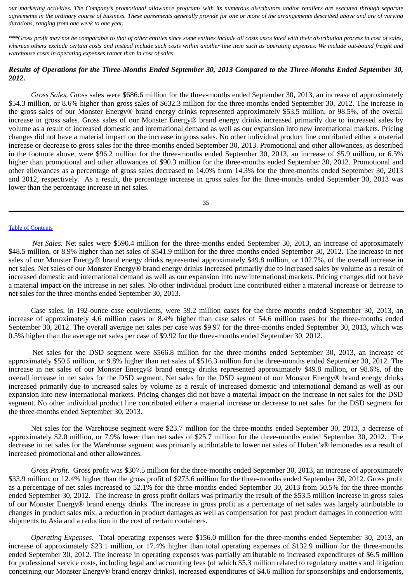our marketing activities. The Company's promotional allowance programs with its numerous distributors and/or retailers are executed through separate agreements in the ordinary course of business. These agreements generally provide for one or more of the arrangements described above and are of varying *durations, ranging from one week to one year.*

\*\*\*Gross profit may not be comparable to that of other entities since some entities include all costs associated with their distribution process in cost of sales, whereas others exclude certain costs and instead include such costs within another line item such as operating expenses. We include out-bound freight and *warehouse costs in operating expenses rather than in cost of sales.*

## *Results of Operations for the Three-Months Ended September 30, 2013 Compared to the Three-Months Ended September 30, 2012.*

*Gross Sales.* Gross sales were \$686.6 million for the three-months ended September 30, 2013, an increase of approximately \$54.3 million, or 8.6% higher than gross sales of \$632.3 million for the three-months ended September 30, 2012. The increase in the gross sales of our Monster Energy® brand energy drinks represented approximately \$53.5 million, or 98.5%, of the overall increase in gross sales. Gross sales of our Monster Energy® brand energy drinks increased primarily due to increased sales by volume as a result of increased domestic and international demand as well as our expansion into new international markets. Pricing changes did not have a material impact on the increase in gross sales. No other individual product line contributed either a material increase or decrease to gross sales for the three-months ended September 30, 2013. Promotional and other allowances, as described in the footnote above, were \$96.2 million for the three-months ended September 30, 2013, an increase of \$5.9 million, or 6.5% higher than promotional and other allowances of \$90.3 million for the three-months ended September 30, 2012. Promotional and other allowances as a percentage of gross sales decreased to 14.0% from 14.3% for the three-months ended September 30, 2013 and 2012, respectively. As a result, the percentage increase in gross sales for the three-months ended September 30, 2013 was lower than the percentage increase in net sales.

35

#### Table of [Contents](#page-0-0)

*Net Sales.* Net sales were \$590.4 million for the three-months ended September 30, 2013, an increase of approximately \$48.5 million, or 8.9% higher than net sales of \$541.9 million for the three-months ended September 30, 2012. The increase in net sales of our Monster Energy® brand energy drinks represented approximately \$49.8 million, or 102.7%, of the overall increase in net sales. Net sales of our Monster Energy® brand energy drinks increased primarily due to increased sales by volume as a result of increased domestic and international demand as well as our expansion into new international markets. Pricing changes did not have a material impact on the increase in net sales. No other individual product line contributed either a material increase or decrease to net sales for the three-months ended September 30, 2013.

Case sales, in 192-ounce case equivalents, were 59.2 million cases for the three-months ended September 30, 2013, an increase of approximately 4.6 million cases or 8.4% higher than case sales of 54.6 million cases for the three-months ended September 30, 2012. The overall average net sales per case was \$9.97 for the three-months ended September 30, 2013, which was 0.5% higher than the average net sales per case of \$9.92 for the three-months ended September 30, 2012.

Net sales for the DSD segment were \$566.8 million for the three-months ended September 30, 2013, an increase of approximately \$50.5 million, or 9.8% higher than net sales of \$516.3 million for the three-months ended September 30, 2012. The increase in net sales of our Monster Energy® brand energy drinks represented approximately \$49.8 million, or 98.6%, of the overall increase in net sales for the DSD segment. Net sales for the DSD segment of our Monster Energy® brand energy drinks increased primarily due to increased sales by volume as a result of increased domestic and international demand as well as our expansion into new international markets. Pricing changes did not have a material impact on the increase in net sales for the DSD segment. No other individual product line contributed either a material increase or decrease to net sales for the DSD segment for the three-months ended September 30, 2013.

Net sales for the Warehouse segment were \$23.7 million for the three-months ended September 30, 2013, a decrease of approximately \$2.0 million, or 7.9% lower than net sales of \$25.7 million for the three-months ended September 30, 2012. The decrease in net sales for the Warehouse segment was primarily attributable to lower net sales of Hubert's® lemonades as a result of increased promotional and other allowances.

*Gross Profit.* Gross profit was \$307.5 million for the three-months ended September 30, 2013, an increase of approximately \$33.9 million, or 12.4% higher than the gross profit of \$273.6 million for the three-months ended September 30, 2012. Gross profit as a percentage of net sales increased to 52.1% for the three-months ended September 30, 2013 from 50.5% for the three-months ended September 30, 2012. The increase in gross profit dollars was primarily the result of the \$53.5 million increase in gross sales of our Monster Energy® brand energy drinks. The increase in gross profit as a percentage of net sales was largely attributable to changes in product sales mix, a reduction in product damages as well as compensation for past product damages in connection with shipments to Asia and a reduction in the cost of certain containers.

*Operating Expenses*. Total operating expenses were \$156.0 million for the three-months ended September 30, 2013, an increase of approximately \$23.1 million, or 17.4% higher than total operating expenses of \$132.9 million for the three-months ended September 30, 2012. The increase in operating expenses was partially attributable to increased expenditures of \$6.5 million for professional service costs, including legal and accounting fees (of which \$5.3 million related to regulatory matters and litigation concerning our Monster Energy® brand energy drinks), increased expenditures of \$4.6 million for sponsorships and endorsements,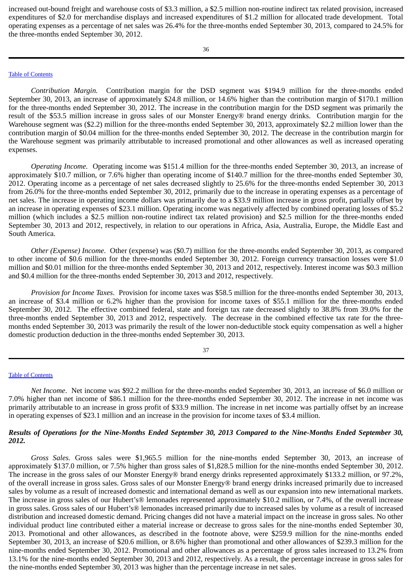increased out-bound freight and warehouse costs of \$3.3 million, a \$2.5 million non-routine indirect tax related provision, increased expenditures of \$2.0 for merchandise displays and increased expenditures of \$1.2 million for allocated trade development. Total operating expenses as a percentage of net sales was 26.4% for the three-months ended September 30, 2013, compared to 24.5% for the three-months ended September 30, 2012.

### Table of [Contents](#page-0-0)

*Contribution Margin.* Contribution margin for the DSD segment was \$194.9 million for the three-months ended September 30, 2013, an increase of approximately \$24.8 million, or 14.6% higher than the contribution margin of \$170.1 million for the three-months ended September 30, 2012. The increase in the contribution margin for the DSD segment was primarily the result of the \$53.5 million increase in gross sales of our Monster Energy® brand energy drinks. Contribution margin for the Warehouse segment was (\$2.2) million for the three-months ended September 30, 2013, approximately \$2.2 million lower than the contribution margin of \$0.04 million for the three-months ended September 30, 2012. The decrease in the contribution margin for the Warehouse segment was primarily attributable to increased promotional and other allowances as well as increased operating expenses.

*Operating Income.* Operating income was \$151.4 million for the three-months ended September 30, 2013, an increase of approximately \$10.7 million, or 7.6% higher than operating income of \$140.7 million for the three-months ended September 30, 2012. Operating income as a percentage of net sales decreased slightly to 25.6% for the three-months ended September 30, 2013 from 26.0% for the three-months ended September 30, 2012, primarily due to the increase in operating expenses as a percentage of net sales. The increase in operating income dollars was primarily due to a \$33.9 million increase in gross profit, partially offset by an increase in operating expenses of \$23.1 million. Operating income was negatively affected by combined operating losses of \$5.2 million (which includes a \$2.5 million non-routine indirect tax related provision) and \$2.5 million for the three-months ended September 30, 2013 and 2012, respectively, in relation to our operations in Africa, Asia, Australia, Europe, the Middle East and South America.

*Other (Expense) Income*. Other (expense) was (\$0.7) million for the three-months ended September 30, 2013, as compared to other income of \$0.6 million for the three-months ended September 30, 2012. Foreign currency transaction losses were \$1.0 million and \$0.01 million for the three-months ended September 30, 2013 and 2012, respectively. Interest income was \$0.3 million and \$0.4 million for the three-months ended September 30, 2013 and 2012, respectively.

*Provision for Income Taxes*. Provision for income taxes was \$58.5 million for the three-months ended September 30, 2013, an increase of \$3.4 million or 6.2% higher than the provision for income taxes of \$55.1 million for the three-months ended September 30, 2012. The effective combined federal, state and foreign tax rate decreased slightly to 38.8% from 39.0% for the three-months ended September 30, 2013 and 2012, respectively. The decrease in the combined effective tax rate for the threemonths ended September 30, 2013 was primarily the result of the lower non-deductible stock equity compensation as well a higher domestic production deduction in the three-months ended September 30, 2013.

### 37

### Table of [Contents](#page-0-0)

*Net Income*. Net income was \$92.2 million for the three-months ended September 30, 2013, an increase of \$6.0 million or 7.0% higher than net income of \$86.1 million for the three-months ended September 30, 2012. The increase in net income was primarily attributable to an increase in gross profit of \$33.9 million. The increase in net income was partially offset by an increase in operating expenses of \$23.1 million and an increase in the provision for income taxes of \$3.4 million.

### *Results of Operations for the Nine-Months Ended September 30, 2013 Compared to the Nine-Months Ended September 30, 2012.*

*Gross Sales.* Gross sales were \$1,965.5 million for the nine-months ended September 30, 2013, an increase of approximately \$137.0 million, or 7.5% higher than gross sales of \$1,828.5 million for the nine-months ended September 30, 2012. The increase in the gross sales of our Monster Energy® brand energy drinks represented approximately \$133.2 million, or 97.2%, of the overall increase in gross sales. Gross sales of our Monster Energy® brand energy drinks increased primarily due to increased sales by volume as a result of increased domestic and international demand as well as our expansion into new international markets. The increase in gross sales of our Hubert's® lemonades represented approximately \$10.2 million, or 7.4%, of the overall increase in gross sales. Gross sales of our Hubert's® lemonades increased primarily due to increased sales by volume as a result of increased distribution and increased domestic demand. Pricing changes did not have a material impact on the increase in gross sales. No other individual product line contributed either a material increase or decrease to gross sales for the nine-months ended September 30, 2013. Promotional and other allowances, as described in the footnote above, were \$259.9 million for the nine-months ended September 30, 2013, an increase of \$20.6 million, or 8.6% higher than promotional and other allowances of \$239.3 million for the nine-months ended September 30, 2012. Promotional and other allowances as a percentage of gross sales increased to 13.2% from 13.1% for the nine-months ended September 30, 2013 and 2012, respectively. As a result, the percentage increase in gross sales for the nine-months ended September 30, 2013 was higher than the percentage increase in net sales.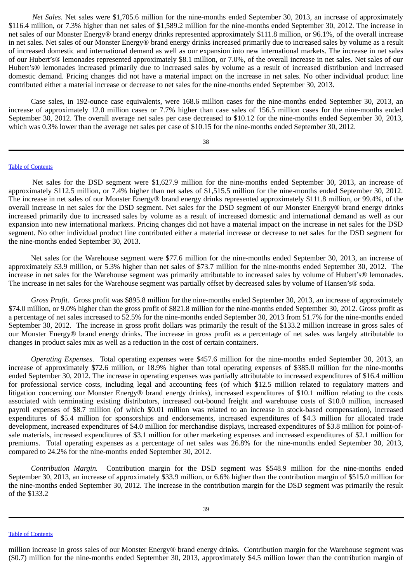*Net Sales.* Net sales were \$1,705.6 million for the nine-months ended September 30, 2013, an increase of approximately \$116.4 million, or 7.3% higher than net sales of \$1,589.2 million for the nine-months ended September 30, 2012. The increase in net sales of our Monster Energy® brand energy drinks represented approximately \$111.8 million, or 96.1%, of the overall increase in net sales. Net sales of our Monster Energy® brand energy drinks increased primarily due to increased sales by volume as a result of increased domestic and international demand as well as our expansion into new international markets. The increase in net sales of our Hubert's® lemonades represented approximately \$8.1 million, or 7.0%, of the overall increase in net sales. Net sales of our Hubert's® lemonades increased primarily due to increased sales by volume as a result of increased distribution and increased domestic demand. Pricing changes did not have a material impact on the increase in net sales. No other individual product line contributed either a material increase or decrease to net sales for the nine-months ended September 30, 2013.

Case sales, in 192-ounce case equivalents, were 168.6 million cases for the nine-months ended September 30, 2013, an increase of approximately 12.0 million cases or 7.7% higher than case sales of 156.5 million cases for the nine-months ended September 30, 2012. The overall average net sales per case decreased to \$10.12 for the nine-months ended September 30, 2013, which was 0.3% lower than the average net sales per case of \$10.15 for the nine-months ended September 30, 2012.

38

#### Table of [Contents](#page-0-0)

Net sales for the DSD segment were \$1,627.9 million for the nine-months ended September 30, 2013, an increase of approximately \$112.5 million, or 7.4% higher than net sales of \$1,515.5 million for the nine-months ended September 30, 2012. The increase in net sales of our Monster Energy® brand energy drinks represented approximately \$111.8 million, or 99.4%, of the overall increase in net sales for the DSD segment. Net sales for the DSD segment of our Monster Energy® brand energy drinks increased primarily due to increased sales by volume as a result of increased domestic and international demand as well as our expansion into new international markets. Pricing changes did not have a material impact on the increase in net sales for the DSD segment. No other individual product line contributed either a material increase or decrease to net sales for the DSD segment for the nine-months ended September 30, 2013.

Net sales for the Warehouse segment were \$77.6 million for the nine-months ended September 30, 2013, an increase of approximately \$3.9 million, or 5.3% higher than net sales of \$73.7 million for the nine-months ended September 30, 2012. The increase in net sales for the Warehouse segment was primarily attributable to increased sales by volume of Hubert's® lemonades. The increase in net sales for the Warehouse segment was partially offset by decreased sales by volume of Hansen's® soda.

*Gross Profit.* Gross profit was \$895.8 million for the nine-months ended September 30, 2013, an increase of approximately \$74.0 million, or 9.0% higher than the gross profit of \$821.8 million for the nine-months ended September 30, 2012. Gross profit as a percentage of net sales increased to 52.5% for the nine-months ended September 30, 2013 from 51.7% for the nine-months ended September 30, 2012. The increase in gross profit dollars was primarily the result of the \$133.2 million increase in gross sales of our Monster Energy® brand energy drinks. The increase in gross profit as a percentage of net sales was largely attributable to changes in product sales mix as well as a reduction in the cost of certain containers.

*Operating Expenses*. Total operating expenses were \$457.6 million for the nine-months ended September 30, 2013, an increase of approximately \$72.6 million, or 18.9% higher than total operating expenses of \$385.0 million for the nine-months ended September 30, 2012. The increase in operating expenses was partially attributable to increased expenditures of \$16.4 million for professional service costs, including legal and accounting fees (of which \$12.5 million related to regulatory matters and litigation concerning our Monster Energy® brand energy drinks), increased expenditures of \$10.1 million relating to the costs associated with terminating existing distributors, increased out-bound freight and warehouse costs of \$10.0 million, increased payroll expenses of \$8.7 million (of which \$0.01 million was related to an increase in stock-based compensation), increased expenditures of \$5.4 million for sponsorships and endorsements, increased expenditures of \$4.3 million for allocated trade development, increased expenditures of \$4.0 million for merchandise displays, increased expenditures of \$3.8 million for point-ofsale materials, increased expenditures of \$3.1 million for other marketing expenses and increased expenditures of \$2.1 million for premiums. Total operating expenses as a percentage of net sales was 26.8% for the nine-months ended September 30, 2013, compared to 24.2% for the nine-months ended September 30, 2012.

*Contribution Margin.* Contribution margin for the DSD segment was \$548.9 million for the nine-months ended September 30, 2013, an increase of approximately \$33.9 million, or 6.6% higher than the contribution margin of \$515.0 million for the nine-months ended September 30, 2012. The increase in the contribution margin for the DSD segment was primarily the result of the \$133.2

Table of [Contents](#page-0-0)

million increase in gross sales of our Monster Energy® brand energy drinks. Contribution margin for the Warehouse segment was (\$0.7) million for the nine-months ended September 30, 2013, approximately \$4.5 million lower than the contribution margin of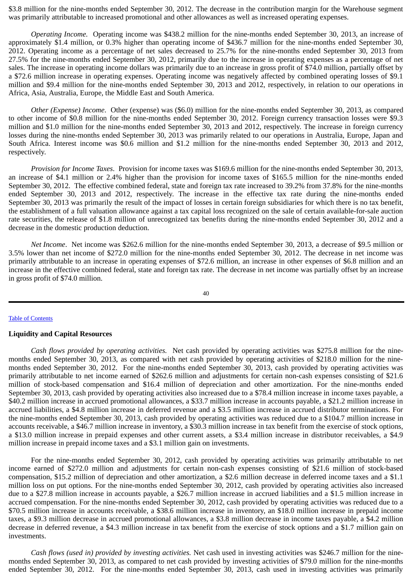\$3.8 million for the nine-months ended September 30, 2012. The decrease in the contribution margin for the Warehouse segment was primarily attributable to increased promotional and other allowances as well as increased operating expenses.

*Operating Income.* Operating income was \$438.2 million for the nine-months ended September 30, 2013, an increase of approximately \$1.4 million, or 0.3% higher than operating income of \$436.7 million for the nine-months ended September 30, 2012. Operating income as a percentage of net sales decreased to 25.7% for the nine-months ended September 30, 2013 from 27.5% for the nine-months ended September 30, 2012, primarily due to the increase in operating expenses as a percentage of net sales. The increase in operating income dollars was primarily due to an increase in gross profit of \$74.0 million, partially offset by a \$72.6 million increase in operating expenses. Operating income was negatively affected by combined operating losses of \$9.1 million and \$9.4 million for the nine-months ended September 30, 2013 and 2012, respectively, in relation to our operations in Africa, Asia, Australia, Europe, the Middle East and South America.

*Other (Expense) Income*. Other (expense) was (\$6.0) million for the nine-months ended September 30, 2013, as compared to other income of \$0.8 million for the nine-months ended September 30, 2012. Foreign currency transaction losses were \$9.3 million and \$1.0 million for the nine-months ended September 30, 2013 and 2012, respectively. The increase in foreign currency losses during the nine-months ended September 30, 2013 was primarily related to our operations in Australia, Europe, Japan and South Africa. Interest income was \$0.6 million and \$1.2 million for the nine-months ended September 30, 2013 and 2012, respectively.

*Provision for Income Taxes*. Provision for income taxes was \$169.6 million for the nine-months ended September 30, 2013, an increase of \$4.1 million or 2.4% higher than the provision for income taxes of \$165.5 million for the nine-months ended September 30, 2012. The effective combined federal, state and foreign tax rate increased to 39.2% from 37.8% for the nine-months ended September 30, 2013 and 2012, respectively. The increase in the effective tax rate during the nine-months ended September 30, 2013 was primarily the result of the impact of losses in certain foreign subsidiaries for which there is no tax benefit, the establishment of a full valuation allowance against a tax capital loss recognized on the sale of certain available-for-sale auction rate securities, the release of \$1.8 million of unrecognized tax benefits during the nine-months ended September 30, 2012 and a decrease in the domestic production deduction.

*Net Income*. Net income was \$262.6 million for the nine-months ended September 30, 2013, a decrease of \$9.5 million or 3.5% lower than net income of \$272.0 million for the nine-months ended September 30, 2012. The decrease in net income was primarily attributable to an increase in operating expenses of \$72.6 million, an increase in other expenses of \$6.8 million and an increase in the effective combined federal, state and foreign tax rate. The decrease in net income was partially offset by an increase in gross profit of \$74.0 million.

40

#### Table of [Contents](#page-0-0)

#### **Liquidity and Capital Resources**

*Cash flows provided by operating activities.* Net cash provided by operating activities was \$275.8 million for the ninemonths ended September 30, 2013, as compared with net cash provided by operating activities of \$218.0 million for the ninemonths ended September 30, 2012. For the nine-months ended September 30, 2013, cash provided by operating activities was primarily attributable to net income earned of \$262.6 million and adjustments for certain non-cash expenses consisting of \$21.6 million of stock-based compensation and \$16.4 million of depreciation and other amortization. For the nine-months ended September 30, 2013, cash provided by operating activities also increased due to a \$78.4 million increase in income taxes payable, a \$40.2 million increase in accrued promotional allowances, a \$33.7 million increase in accounts payable, a \$21.2 million increase in accrued liabilities, a \$4.8 million increase in deferred revenue and a \$3.5 million increase in accrued distributor terminations. For the nine-months ended September 30, 2013, cash provided by operating activities was reduced due to a \$104.7 million increase in accounts receivable, a \$46.7 million increase in inventory, a \$30.3 million increase in tax benefit from the exercise of stock options, a \$13.0 million increase in prepaid expenses and other current assets, a \$3.4 million increase in distributor receivables, a \$4.9 million increase in prepaid income taxes and a \$3.1 million gain on investments.

For the nine-months ended September 30, 2012, cash provided by operating activities was primarily attributable to net income earned of \$272.0 million and adjustments for certain non-cash expenses consisting of \$21.6 million of stock-based compensation, \$15.2 million of depreciation and other amortization, a \$2.6 million decrease in deferred income taxes and a \$1.1 million loss on put options. For the nine-months ended September 30, 2012, cash provided by operating activities also increased due to a \$27.8 million increase in accounts payable, a \$26.7 million increase in accrued liabilities and a \$1.5 million increase in accrued compensation. For the nine-months ended September 30, 2012, cash provided by operating activities was reduced due to a \$70.5 million increase in accounts receivable, a \$38.6 million increase in inventory, an \$18.0 million increase in prepaid income taxes, a \$9.3 million decrease in accrued promotional allowances, a \$3.8 million decrease in income taxes payable, a \$4.2 million decrease in deferred revenue, a \$4.3 million increase in tax benefit from the exercise of stock options and a \$1.7 million gain on investments.

*Cash flows (used in) provided by investing activities.* Net cash used in investing activities was \$246.7 million for the ninemonths ended September 30, 2013, as compared to net cash provided by investing activities of \$79.0 million for the nine-months ended September 30, 2012. For the nine-months ended September 30, 2013, cash used in investing activities was primarily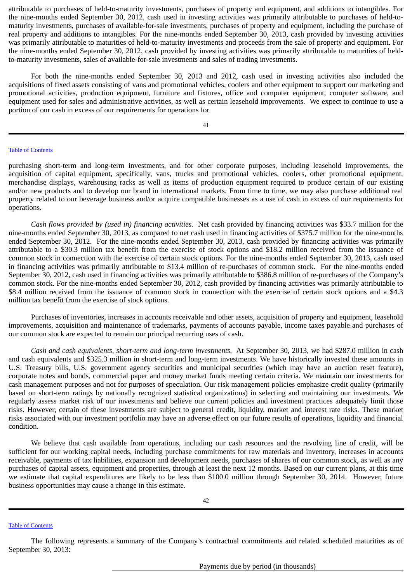attributable to purchases of held-to-maturity investments, purchases of property and equipment, and additions to intangibles. For the nine-months ended September 30, 2012, cash used in investing activities was primarily attributable to purchases of held-tomaturity investments, purchases of available-for-sale investments, purchases of property and equipment, including the purchase of real property and additions to intangibles. For the nine-months ended September 30, 2013, cash provided by investing activities was primarily attributable to maturities of held-to-maturity investments and proceeds from the sale of property and equipment. For the nine-months ended September 30, 2012, cash provided by investing activities was primarily attributable to maturities of heldto-maturity investments, sales of available-for-sale investments and sales of trading investments.

For both the nine-months ended September 30, 2013 and 2012, cash used in investing activities also included the acquisitions of fixed assets consisting of vans and promotional vehicles, coolers and other equipment to support our marketing and promotional activities, production equipment, furniture and fixtures, office and computer equipment, computer software, and equipment used for sales and administrative activities, as well as certain leasehold improvements. We expect to continue to use a portion of our cash in excess of our requirements for operations for

41

### Table of [Contents](#page-0-0)

purchasing short-term and long-term investments, and for other corporate purposes, including leasehold improvements, the acquisition of capital equipment, specifically, vans, trucks and promotional vehicles, coolers, other promotional equipment, merchandise displays, warehousing racks as well as items of production equipment required to produce certain of our existing and/or new products and to develop our brand in international markets. From time to time, we may also purchase additional real property related to our beverage business and/or acquire compatible businesses as a use of cash in excess of our requirements for operations.

*Cash flows provided by (used in) financing activities.* Net cash provided by financing activities was \$33.7 million for the nine-months ended September 30, 2013, as compared to net cash used in financing activities of \$375.7 million for the nine-months ended September 30, 2012. For the nine-months ended September 30, 2013, cash provided by financing activities was primarily attributable to a \$30.3 million tax benefit from the exercise of stock options and \$18.2 million received from the issuance of common stock in connection with the exercise of certain stock options. For the nine-months ended September 30, 2013, cash used in financing activities was primarily attributable to \$13.4 million of re-purchases of common stock. For the nine-months ended September 30, 2012, cash used in financing activities was primarily attributable to \$386.8 million of re-purchases of the Company's common stock. For the nine-months ended September 30, 2012, cash provided by financing activities was primarily attributable to \$8.4 million received from the issuance of common stock in connection with the exercise of certain stock options and a \$4.3 million tax benefit from the exercise of stock options.

Purchases of inventories, increases in accounts receivable and other assets, acquisition of property and equipment, leasehold improvements, acquisition and maintenance of trademarks, payments of accounts payable, income taxes payable and purchases of our common stock are expected to remain our principal recurring uses of cash.

*Cash and cash equivalents, short-term and long-term investments.* At September 30, 2013, we had \$287.0 million in cash and cash equivalents and \$325.3 million in short-term and long-term investments. We have historically invested these amounts in U.S. Treasury bills, U.S. government agency securities and municipal securities (which may have an auction reset feature), corporate notes and bonds, commercial paper and money market funds meeting certain criteria. We maintain our investments for cash management purposes and not for purposes of speculation. Our risk management policies emphasize credit quality (primarily based on short-term ratings by nationally recognized statistical organizations) in selecting and maintaining our investments. We regularly assess market risk of our investments and believe our current policies and investment practices adequately limit those risks. However, certain of these investments are subject to general credit, liquidity, market and interest rate risks. These market risks associated with our investment portfolio may have an adverse effect on our future results of operations, liquidity and financial condition.

We believe that cash available from operations, including our cash resources and the revolving line of credit, will be sufficient for our working capital needs, including purchase commitments for raw materials and inventory, increases in accounts receivable, payments of tax liabilities, expansion and development needs, purchases of shares of our common stock, as well as any purchases of capital assets, equipment and properties, through at least the next 12 months. Based on our current plans, at this time we estimate that capital expenditures are likely to be less than \$100.0 million through September 30, 2014. However, future business opportunities may cause a change in this estimate.

42

### Table of [Contents](#page-0-0)

The following represents a summary of the Company's contractual commitments and related scheduled maturities as of September 30, 2013:

Payments due by period (in thousands)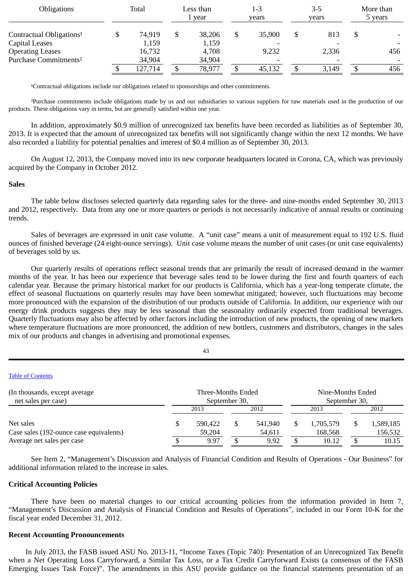| Obligations                          | Total   |   | Less than<br>1 year | 1-3<br>vears | 3-5<br>vears |   | More than<br>5 years |
|--------------------------------------|---------|---|---------------------|--------------|--------------|---|----------------------|
| Contractual Obligations <sup>1</sup> | 74,919  | S | 38,206              | 35,900       | \$<br>813    | S |                      |
| Capital Leases                       | 1,159   |   | 1,159               |              |              |   |                      |
| <b>Operating Leases</b>              | 16,732  |   | 4,708               | 9,232        | 2,336        |   | 456                  |
| Purchase Commitments <sup>2</sup>    | 34,904  |   | 34,904              | -            |              |   |                      |
|                                      | 127,714 |   | 78,977              | 45,132       | 3,149        | D | 456                  |

<sup>1</sup>Contractual obligations include our obligations related to sponsorships and other commitments.

²Purchase commitments include obligations made by us and our subsidiaries to various suppliers for raw materials used in the production of our products. These obligations vary in terms, but are generally satisfied within one year.

In addition, approximately \$0.9 million of unrecognized tax benefits have been recorded as liabilities as of September 30, 2013. It is expected that the amount of unrecognized tax benefits will not significantly change within the next 12 months. We have also recorded a liability for potential penalties and interest of \$0.4 million as of September 30, 2013.

On August 12, 2013, the Company moved into its new corporate headquarters located in Corona, CA, which was previously acquired by the Company in October 2012.

### **Sales**

The table below discloses selected quarterly data regarding sales for the three- and nine-months ended September 30, 2013 and 2012, respectively. Data from any one or more quarters or periods is not necessarily indicative of annual results or continuing trends.

Sales of beverages are expressed in unit case volume. A "unit case" means a unit of measurement equal to 192 U.S. fluid ounces of finished beverage (24 eight-ounce servings). Unit case volume means the number of unit cases (or unit case equivalents) of beverages sold by us.

Our quarterly results of operations reflect seasonal trends that are primarily the result of increased demand in the warmer months of the year. It has been our experience that beverage sales tend to be lower during the first and fourth quarters of each calendar year. Because the primary historical market for our products is California, which has a year-long temperate climate, the effect of seasonal fluctuations on quarterly results may have been somewhat mitigated; however, such fluctuations may become more pronounced with the expansion of the distribution of our products outside of California. In addition, our experience with our energy drink products suggests they may be less seasonal than the seasonality ordinarily expected from traditional beverages. Quarterly fluctuations may also be affected by other factors including the introduction of new products, the opening of new markets where temperature fluctuations are more pronounced, the addition of new bottlers, customers and distributors, changes in the sales mix of our products and changes in advertising and promotional expenses.

43

| <b>Table of Contents</b>                |                    |         |      |                   |               |           |      |           |
|-----------------------------------------|--------------------|---------|------|-------------------|---------------|-----------|------|-----------|
| (In thousands, except average)          | Three-Months Ended |         |      | Nine-Months Ended |               |           |      |           |
| net sales per case)                     | September 30,      |         |      |                   | September 30, |           |      |           |
|                                         | 2013               |         | 2012 |                   | 2013          |           | 2012 |           |
| Net sales                               | S                  | 590.422 | S    | 541,940           | S             | 1,705,579 | S    | 1,589,185 |
| Case sales (192-ounce case equivalents) |                    | 59,204  |      | 54,611            |               | 168,568   |      | 156,532   |
| Average net sales per case              |                    | 9.97    |      | 9.92              | S             | 10.12     |      | 10.15     |

See Item 2, "Management's Discussion and Analysis of Financial Condition and Results of Operations - Our Business" for additional information related to the increase in sales.

### **Critical Accounting Policies**

There have been no material changes to our critical accounting policies from the information provided in Item 7, "Management's Discussion and Analysis of Financial Condition and Results of Operations", included in our Form 10-K for the fiscal year ended December 31, 2012.

### **Recent Accounting Pronouncements**

In July 2013, the FASB issued ASU No. 2013-11, "Income Taxes (Topic 740): Presentation of an Unrecognized Tax Benefit when a Net Operating Loss Carryforward, a Similar Tax Loss, or a Tax Credit Carryforward Exists (a consensus of the FASB Emerging Issues Task Force)". The amendments in this ASU provide guidance on the financial statements presentation of an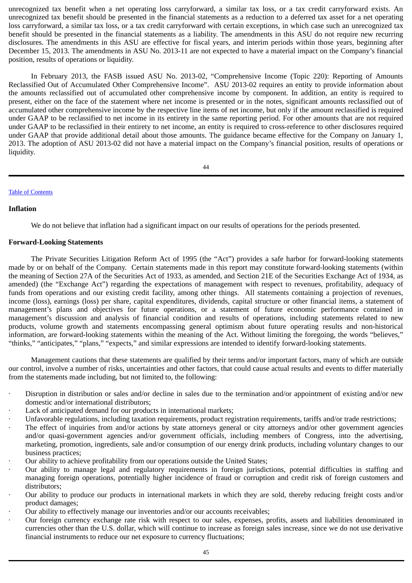unrecognized tax benefit when a net operating loss carryforward, a similar tax loss, or a tax credit carryforward exists. An unrecognized tax benefit should be presented in the financial statements as a reduction to a deferred tax asset for a net operating loss carryforward, a similar tax loss, or a tax credit carryforward with certain exceptions, in which case such an unrecognized tax benefit should be presented in the financial statements as a liability. The amendments in this ASU do not require new recurring disclosures. The amendments in this ASU are effective for fiscal years, and interim periods within those years, beginning after December 15, 2013. The amendments in ASU No. 2013-11 are not expected to have a material impact on the Company's financial position, results of operations or liquidity.

In February 2013, the FASB issued ASU No. 2013-02, "Comprehensive Income (Topic 220): Reporting of Amounts Reclassified Out of Accumulated Other Comprehensive Income". ASU 2013-02 requires an entity to provide information about the amounts reclassified out of accumulated other comprehensive income by component. In addition, an entity is required to present, either on the face of the statement where net income is presented or in the notes, significant amounts reclassified out of accumulated other comprehensive income by the respective line items of net income, but only if the amount reclassified is required under GAAP to be reclassified to net income in its entirety in the same reporting period. For other amounts that are not required under GAAP to be reclassified in their entirety to net income, an entity is required to cross-reference to other disclosures required under GAAP that provide additional detail about those amounts. The guidance became effective for the Company on January 1, 2013. The adoption of ASU 2013-02 did not have a material impact on the Company's financial position, results of operations or liquidity.

44

### Table of [Contents](#page-0-0)

## **Inflation**

We do not believe that inflation had a significant impact on our results of operations for the periods presented.

### **Forward-Looking Statements**

The Private Securities Litigation Reform Act of 1995 (the "Act") provides a safe harbor for forward-looking statements made by or on behalf of the Company. Certain statements made in this report may constitute forward-looking statements (within the meaning of Section 27A of the Securities Act of 1933, as amended, and Section 21E of the Securities Exchange Act of 1934, as amended) (the "Exchange Act") regarding the expectations of management with respect to revenues, profitability, adequacy of funds from operations and our existing credit facility, among other things. All statements containing a projection of revenues, income (loss), earnings (loss) per share, capital expenditures, dividends, capital structure or other financial items, a statement of management's plans and objectives for future operations, or a statement of future economic performance contained in management's discussion and analysis of financial condition and results of operations, including statements related to new products, volume growth and statements encompassing general optimism about future operating results and non-historical information, are forward-looking statements within the meaning of the Act. Without limiting the foregoing, the words "believes," "thinks," "anticipates," "plans," "expects," and similar expressions are intended to identify forward-looking statements.

Management cautions that these statements are qualified by their terms and/or important factors, many of which are outside our control, involve a number of risks, uncertainties and other factors, that could cause actual results and events to differ materially from the statements made including, but not limited to, the following:

- Disruption in distribution or sales and/or decline in sales due to the termination and/or appointment of existing and/or new domestic and/or international distributors;
- Lack of anticipated demand for our products in international markets;
- Unfavorable regulations, including taxation requirements, product registration requirements, tariffs and/or trade restrictions;
- The effect of inquiries from and/or actions by state attorneys general or city attorneys and/or other government agencies and/or quasi-government agencies and/or government officials, including members of Congress, into the advertising, marketing, promotion, ingredients, sale and/or consumption of our energy drink products, including voluntary changes to our business practices;
- · Our ability to achieve profitability from our operations outside the United States;
- · Our ability to manage legal and regulatory requirements in foreign jurisdictions, potential difficulties in staffing and managing foreign operations, potentially higher incidence of fraud or corruption and credit risk of foreign customers and distributors;
- · Our ability to produce our products in international markets in which they are sold, thereby reducing freight costs and/or product damages;
- · Our ability to effectively manage our inventories and/or our accounts receivables;
- · Our foreign currency exchange rate risk with respect to our sales, expenses, profits, assets and liabilities denominated in currencies other than the U.S. dollar, which will continue to increase as foreign sales increase, since we do not use derivative financial instruments to reduce our net exposure to currency fluctuations;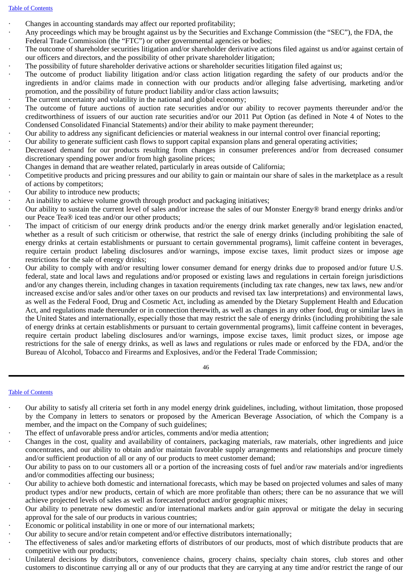#### Table of [Contents](#page-0-0)

- · Changes in accounting standards may affect our reported profitability;
- · Any proceedings which may be brought against us by the Securities and Exchange Commission (the "SEC"), the FDA, the Federal Trade Commission (the "FTC") or other governmental agencies or bodies;
- The outcome of shareholder securities litigation and/or shareholder derivative actions filed against us and/or against certain of our officers and directors, and the possibility of other private shareholder litigation;
- · The possibility of future shareholder derivative actions or shareholder securities litigation filed against us;
- The outcome of product liability litigation and/or class action litigation regarding the safety of our products and/or the ingredients in and/or claims made in connection with our products and/or alleging false advertising, marketing and/or promotion, and the possibility of future product liability and/or class action lawsuits;
- The current uncertainty and volatility in the national and global economy;
- The outcome of future auctions of auction rate securities and/or our ability to recover payments thereunder and/or the creditworthiness of issuers of our auction rate securities and/or our 2011 Put Option (as defined in Note 4 of Notes to the Condensed Consolidated Financial Statements) and/or their ability to make payment thereunder;
- Our ability to address any significant deficiencies or material weakness in our internal control over financial reporting;
- · Our ability to generate sufficient cash flows to support capital expansion plans and general operating activities;
- Decreased demand for our products resulting from changes in consumer preferences and/or from decreased consumer discretionary spending power and/or from high gasoline prices;
- · Changes in demand that are weather related, particularly in areas outside of California;
- Competitive products and pricing pressures and our ability to gain or maintain our share of sales in the marketplace as a result of actions by competitors;
- Our ability to introduce new products;
- An inability to achieve volume growth through product and packaging initiatives;
- · Our ability to sustain the current level of sales and/or increase the sales of our Monster Energy® brand energy drinks and/or our Peace Tea® iced teas and/or our other products;
- The impact of criticism of our energy drink products and/or the energy drink market generally and/or legislation enacted, whether as a result of such criticism or otherwise, that restrict the sale of energy drinks (including prohibiting the sale of energy drinks at certain establishments or pursuant to certain governmental programs), limit caffeine content in beverages, require certain product labeling disclosures and/or warnings, impose excise taxes, limit product sizes or impose age restrictions for the sale of energy drinks;
- · Our ability to comply with and/or resulting lower consumer demand for energy drinks due to proposed and/or future U.S. federal, state and local laws and regulations and/or proposed or existing laws and regulations in certain foreign jurisdictions and/or any changes therein, including changes in taxation requirements (including tax rate changes, new tax laws, new and/or increased excise and/or sales and/or other taxes on our products and revised tax law interpretations) and environmental laws, as well as the Federal Food, Drug and Cosmetic Act, including as amended by the Dietary Supplement Health and Education Act, and regulations made thereunder or in connection therewith, as well as changes in any other food, drug or similar laws in the United States and internationally, especially those that may restrict the sale of energy drinks (including prohibiting the sale of energy drinks at certain establishments or pursuant to certain governmental programs), limit caffeine content in beverages, require certain product labeling disclosures and/or warnings, impose excise taxes, limit product sizes, or impose age restrictions for the sale of energy drinks, as well as laws and regulations or rules made or enforced by the FDA, and/or the Bureau of Alcohol, Tobacco and Firearms and Explosives, and/or the Federal Trade Commission;

46

## Table of [Contents](#page-0-0)

- · Our ability to satisfy all criteria set forth in any model energy drink guidelines, including, without limitation, those proposed by the Company in letters to senators or proposed by the American Beverage Association, of which the Company is a member, and the impact on the Company of such guidelines;
- The effect of unfavorable press and/or articles, comments and/or media attention;
- · Changes in the cost, quality and availability of containers, packaging materials, raw materials, other ingredients and juice concentrates, and our ability to obtain and/or maintain favorable supply arrangements and relationships and procure timely and/or sufficient production of all or any of our products to meet customer demand;
- · Our ability to pass on to our customers all or a portion of the increasing costs of fuel and/or raw materials and/or ingredients and/or commodities affecting our business;
- · Our ability to achieve both domestic and international forecasts, which may be based on projected volumes and sales of many product types and/or new products, certain of which are more profitable than others; there can be no assurance that we will achieve projected levels of sales as well as forecasted product and/or geographic mixes;
- Our ability to penetrate new domestic and/or international markets and/or gain approval or mitigate the delay in securing approval for the sale of our products in various countries;
- Economic or political instability in one or more of our international markets;
- · Our ability to secure and/or retain competent and/or effective distributors internationally;
- The effectiveness of sales and/or marketing efforts of distributors of our products, most of which distribute products that are competitive with our products;
- Unilateral decisions by distributors, convenience chains, grocery chains, specialty chain stores, club stores and other customers to discontinue carrying all or any of our products that they are carrying at any time and/or restrict the range of our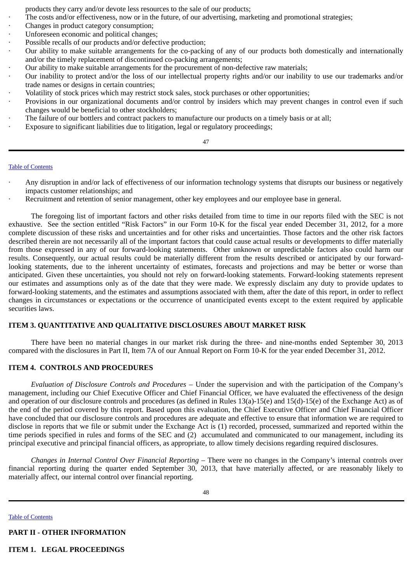products they carry and/or devote less resources to the sale of our products;

- The costs and/or effectiveness, now or in the future, of our advertising, marketing and promotional strategies;
- Changes in product category consumption;
- Unforeseen economic and political changes;
- Possible recalls of our products and/or defective production:
- · Our ability to make suitable arrangements for the co-packing of any of our products both domestically and internationally and/or the timely replacement of discontinued co-packing arrangements;
- · Our ability to make suitable arrangements for the procurement of non-defective raw materials;
- · Our inability to protect and/or the loss of our intellectual property rights and/or our inability to use our trademarks and/or trade names or designs in certain countries;
- · Volatility of stock prices which may restrict stock sales, stock purchases or other opportunities;
- Provisions in our organizational documents and/or control by insiders which may prevent changes in control even if such changes would be beneficial to other stockholders;
- The failure of our bottlers and contract packers to manufacture our products on a timely basis or at all;
- Exposure to significant liabilities due to litigation, legal or regulatory proceedings;

<span id="page-31-0"></span>47

### Table of [Contents](#page-0-0)

- · Any disruption in and/or lack of effectiveness of our information technology systems that disrupts our business or negatively impacts customer relationships; and
- Recruitment and retention of senior management, other key employees and our employee base in general.

The foregoing list of important factors and other risks detailed from time to time in our reports filed with the SEC is not exhaustive. See the section entitled "Risk Factors" in our Form 10-K for the fiscal year ended December 31, 2012, for a more complete discussion of these risks and uncertainties and for other risks and uncertainties. Those factors and the other risk factors described therein are not necessarily all of the important factors that could cause actual results or developments to differ materially from those expressed in any of our forward-looking statements. Other unknown or unpredictable factors also could harm our results. Consequently, our actual results could be materially different from the results described or anticipated by our forwardlooking statements, due to the inherent uncertainty of estimates, forecasts and projections and may be better or worse than anticipated. Given these uncertainties, you should not rely on forward-looking statements. Forward-looking statements represent our estimates and assumptions only as of the date that they were made. We expressly disclaim any duty to provide updates to forward-looking statements, and the estimates and assumptions associated with them, after the date of this report, in order to reflect changes in circumstances or expectations or the occurrence of unanticipated events except to the extent required by applicable securities laws.

## **ITEM 3. QUANTITATIVE AND QUALITATIVE DISCLOSURES ABOUT MARKET RISK**

There have been no material changes in our market risk during the three- and nine-months ended September 30, 2013 compared with the disclosures in Part II, Item 7A of our Annual Report on Form 10-K for the year ended December 31, 2012.

## <span id="page-31-1"></span>**ITEM 4. CONTROLS AND PROCEDURES**

*Evaluation of Disclosure Controls and Procedures* – Under the supervision and with the participation of the Company's management, including our Chief Executive Officer and Chief Financial Officer, we have evaluated the effectiveness of the design and operation of our disclosure controls and procedures (as defined in Rules 13(a)-15(e) and 15(d)-15(e) of the Exchange Act) as of the end of the period covered by this report. Based upon this evaluation, the Chief Executive Officer and Chief Financial Officer have concluded that our disclosure controls and procedures are adequate and effective to ensure that information we are required to disclose in reports that we file or submit under the Exchange Act is (1) recorded, processed, summarized and reported within the time periods specified in rules and forms of the SEC and (2) accumulated and communicated to our management, including its principal executive and principal financial officers, as appropriate, to allow timely decisions regarding required disclosures.

*Changes in Internal Control Over Financial Reporting* – There were no changes in the Company's internal controls over financial reporting during the quarter ended September 30, 2013, that have materially affected, or are reasonably likely to materially affect, our internal control over financial reporting.

Table of [Contents](#page-0-0)

<span id="page-31-2"></span>**PART II - OTHER INFORMATION**

<span id="page-31-3"></span>**ITEM 1. LEGAL PROCEEDINGS**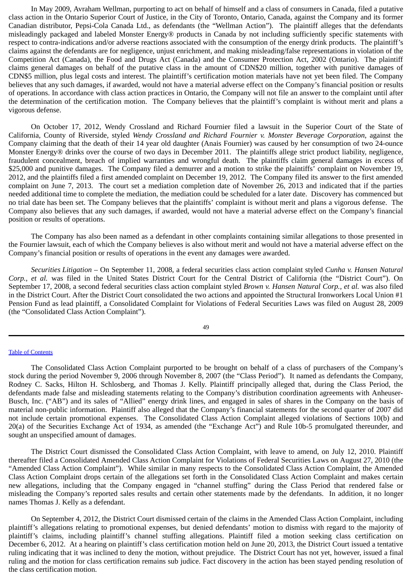In May 2009, Avraham Wellman, purporting to act on behalf of himself and a class of consumers in Canada, filed a putative class action in the Ontario Superior Court of Justice, in the City of Toronto, Ontario, Canada, against the Company and its former Canadian distributor, Pepsi-Cola Canada Ltd., as defendants (the "Wellman Action"). The plaintiff alleges that the defendants misleadingly packaged and labeled Monster Energy® products in Canada by not including sufficiently specific statements with respect to contra-indications and/or adverse reactions associated with the consumption of the energy drink products. The plaintiff's claims against the defendants are for negligence, unjust enrichment, and making misleading/false representations in violation of the Competition Act (Canada), the Food and Drugs Act (Canada) and the Consumer Protection Act, 2002 (Ontario). The plaintiff claims general damages on behalf of the putative class in the amount of CDN\$20 million, together with punitive damages of CDN\$5 million, plus legal costs and interest. The plaintiff's certification motion materials have not yet been filed. The Company believes that any such damages, if awarded, would not have a material adverse effect on the Company's financial position or results of operations. In accordance with class action practices in Ontario, the Company will not file an answer to the complaint until after the determination of the certification motion. The Company believes that the plaintiff's complaint is without merit and plans a vigorous defense.

On October 17, 2012, Wendy Crossland and Richard Fournier filed a lawsuit in the Superior Court of the State of California, County of Riverside, styled *Wendy Crossland and Richard Fournier v. Monster Beverage Corporation*, against the Company claiming that the death of their 14 year old daughter (Anais Fournier) was caused by her consumption of two 24-ounce Monster Energy® drinks over the course of two days in December 2011. The plaintiffs allege strict product liability, negligence, fraudulent concealment, breach of implied warranties and wrongful death. The plaintiffs claim general damages in excess of \$25,000 and punitive damages. The Company filed a demurrer and a motion to strike the plaintiffs' complaint on November 19, 2012, and the plaintiffs filed a first amended complaint on December 19, 2012. The Company filed its answer to the first amended complaint on June 7, 2013. The court set a mediation completion date of November 26, 2013 and indicated that if the parties needed additional time to complete the mediation, the mediation could be scheduled for a later date. Discovery has commenced but no trial date has been set. The Company believes that the plaintiffs' complaint is without merit and plans a vigorous defense. The Company also believes that any such damages, if awarded, would not have a material adverse effect on the Company's financial position or results of operations.

The Company has also been named as a defendant in other complaints containing similar allegations to those presented in the Fournier lawsuit, each of which the Company believes is also without merit and would not have a material adverse effect on the Company's financial position or results of operations in the event any damages were awarded.

*Securities Litigation* – On September 11, 2008, a federal securities class action complaint styled *Cunha v. Hansen Natural Corp., et al.* was filed in the United States District Court for the Central District of California (the "District Court"). On September 17, 2008, a second federal securities class action complaint styled *Brown v. Hansen Natural Corp., et al.* was also filed in the District Court. After the District Court consolidated the two actions and appointed the Structural Ironworkers Local Union #1 Pension Fund as lead plaintiff, a Consolidated Complaint for Violations of Federal Securities Laws was filed on August 28, 2009 (the "Consolidated Class Action Complaint").

49

### Table of [Contents](#page-0-0)

The Consolidated Class Action Complaint purported to be brought on behalf of a class of purchasers of the Company's stock during the period November 9, 2006 through November 8, 2007 (the "Class Period"). It named as defendants the Company, Rodney C. Sacks, Hilton H. Schlosberg, and Thomas J. Kelly. Plaintiff principally alleged that, during the Class Period, the defendants made false and misleading statements relating to the Company's distribution coordination agreements with Anheuser-Busch, Inc. ("AB") and its sales of "Allied" energy drink lines, and engaged in sales of shares in the Company on the basis of material non-public information. Plaintiff also alleged that the Company's financial statements for the second quarter of 2007 did not include certain promotional expenses. The Consolidated Class Action Complaint alleged violations of Sections 10(b) and 20(a) of the Securities Exchange Act of 1934, as amended (the "Exchange Act") and Rule 10b-5 promulgated thereunder, and sought an unspecified amount of damages.

The District Court dismissed the Consolidated Class Action Complaint, with leave to amend, on July 12, 2010. Plaintiff thereafter filed a Consolidated Amended Class Action Complaint for Violations of Federal Securities Laws on August 27, 2010 (the "Amended Class Action Complaint"). While similar in many respects to the Consolidated Class Action Complaint, the Amended Class Action Complaint drops certain of the allegations set forth in the Consolidated Class Action Complaint and makes certain new allegations, including that the Company engaged in "channel stuffing" during the Class Period that rendered false or misleading the Company's reported sales results and certain other statements made by the defendants. In addition, it no longer names Thomas J. Kelly as a defendant.

On September 4, 2012, the District Court dismissed certain of the claims in the Amended Class Action Complaint, including plaintiff's allegations relating to promotional expenses, but denied defendants' motion to dismiss with regard to the majority of plaintiff's claims, including plaintiff's channel stuffing allegations. Plaintiff filed a motion seeking class certification on December 6, 2012. At a hearing on plaintiff's class certification motion held on June 20, 2013, the District Court issued a tentative ruling indicating that it was inclined to deny the motion, without prejudice. The District Court has not yet, however, issued a final ruling and the motion for class certification remains sub judice. Fact discovery in the action has been stayed pending resolution of the class certification motion.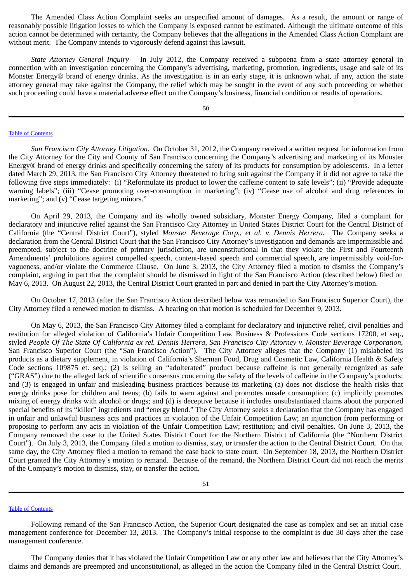The Amended Class Action Complaint seeks an unspecified amount of damages. As a result, the amount or range of reasonably possible litigation losses to which the Company is exposed cannot be estimated. Although the ultimate outcome of this action cannot be determined with certainty, the Company believes that the allegations in the Amended Class Action Complaint are without merit. The Company intends to vigorously defend against this lawsuit.

*State Attorney General Inquiry* – In July 2012, the Company received a subpoena from a state attorney general in connection with an investigation concerning the Company's advertising, marketing, promotion, ingredients, usage and sale of its Monster Energy® brand of energy drinks. As the investigation is in an early stage, it is unknown what, if any, action the state attorney general may take against the Company, the relief which may be sought in the event of any such proceeding or whether such proceeding could have a material adverse effect on the Company's business, financial condition or results of operations.

#### Table of [Contents](#page-0-0)

*San Francisco City Attorney Litigation*. On October 31, 2012, the Company received a written request for information from the City Attorney for the City and County of San Francisco concerning the Company's advertising and marketing of its Monster Energy® brand of energy drinks and specifically concerning the safety of its products for consumption by adolescents. In a letter dated March 29, 2013, the San Francisco City Attorney threatened to bring suit against the Company if it did not agree to take the following five steps immediately: (i) "Reformulate its product to lower the caffeine content to safe levels"; (ii) "Provide adequate warning labels"; (iii) "Cease promoting over-consumption in marketing"; (iv) "Cease use of alcohol and drug references in marketing"; and (v) "Cease targeting minors."

On April 29, 2013, the Company and its wholly owned subsidiary, Monster Energy Company, filed a complaint for declaratory and injunctive relief against the San Francisco City Attorney in United States District Court for the Central District of California (the "Central District Court"), styled *Monster Beverage Corp., et al. v. Dennis Herrera.* The Company seeks a declaration from the Central District Court that the San Francisco City Attorney's investigation and demands are impermissible and preempted, subject to the doctrine of primary jurisdiction, are unconstitutional in that they violate the First and Fourteenth Amendments' prohibitions against compelled speech, content-based speech and commercial speech, are impermissibly void-forvagueness, and/or violate the Commerce Clause. On June 3, 2013, the City Attorney filed a motion to dismiss the Company's complaint, arguing in part that the complaint should be dismissed in light of the San Francisco Action (described below) filed on May 6, 2013. On August 22, 2013, the Central District Court granted in part and denied in part the City Attorney's motion.

On October 17, 2013 (after the San Francisco Action described below was remanded to San Francisco Superior Court), the City Attorney filed a renewed motion to dismiss. A hearing on that motion is scheduled for December 9, 2013.

On May 6, 2013, the San Francisco City Attorney filed a complaint for declaratory and injunctive relief, civil penalties and restitution for alleged violation of California's Unfair Competition Law, Business & Professions Code sections 17200, et seq., styled *People Of The State Of California ex rel. Dennis Herrera, San Francisco City Attorney v. Monster Beverage Corporation*, San Francisco Superior Court (the "San Francisco Action"). The City Attorney alleges that the Company (1) mislabeled its products as a dietary supplement, in violation of California's Sherman Food, Drug and Cosmetic Law, California Health & Safety Code sections 109875 et. seq.; (2) is selling an "adulterated" product because caffeine is not generally recognized as safe ("GRAS") due to the alleged lack of scientific consensus concerning the safety of the levels of caffeine in the Company's products; and (3) is engaged in unfair and misleading business practices because its marketing (a) does not disclose the health risks that energy drinks pose for children and teens; (b) fails to warn against and promotes unsafe consumption; (c) implicitly promotes mixing of energy drinks with alcohol or drugs; and (d) is deceptive because it includes unsubstantiated claims about the purported special benefits of its "killer" ingredients and "energy blend." The City Attorney seeks a declaration that the Company has engaged in unfair and unlawful business acts and practices in violation of the Unfair Competition Law; an injunction from performing or proposing to perform any acts in violation of the Unfair Competition Law; restitution; and civil penalties. On June 3, 2013, the Company removed the case to the United States District Court for the Northern District of California (the "Northern District Court"). On July 3, 2013, the Company filed a motion to dismiss, stay, or transfer the action to the Central District Court. On that same day, the City Attorney filed a motion to remand the case back to state court. On September 18, 2013, the Northern District Court granted the City Attorney's motion to remand. Because of the remand, the Northern District Court did not reach the merits of the Company's motion to dismiss, stay, or transfer the action.

### Table of [Contents](#page-0-0)

Following remand of the San Francisco Action, the Superior Court designated the case as complex and set an initial case management conference for December 13, 2013. The Company's initial response to the complaint is due 30 days after the case management conference.

The Company denies that it has violated the Unfair Competition Law or any other law and believes that the City Attorney's claims and demands are preempted and unconstitutional, as alleged in the action the Company filed in the Central District Court.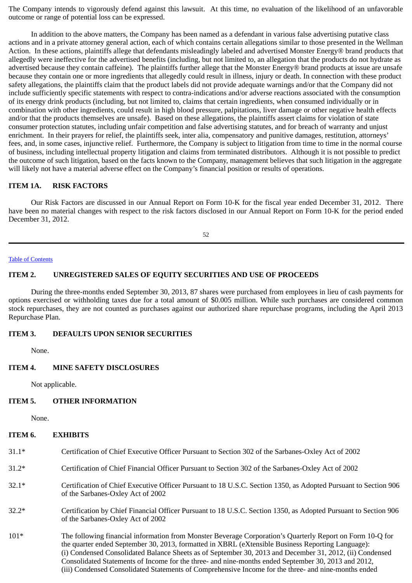The Company intends to vigorously defend against this lawsuit. At this time, no evaluation of the likelihood of an unfavorable outcome or range of potential loss can be expressed.

In addition to the above matters, the Company has been named as a defendant in various false advertising putative class actions and in a private attorney general action, each of which contains certain allegations similar to those presented in the Wellman Action. In these actions, plaintiffs allege that defendants misleadingly labeled and advertised Monster Energy® brand products that allegedly were ineffective for the advertised benefits (including, but not limited to, an allegation that the products do not hydrate as advertised because they contain caffeine). The plaintiffs further allege that the Monster Energy® brand products at issue are unsafe because they contain one or more ingredients that allegedly could result in illness, injury or death. In connection with these product safety allegations, the plaintiffs claim that the product labels did not provide adequate warnings and/or that the Company did not include sufficiently specific statements with respect to contra-indications and/or adverse reactions associated with the consumption of its energy drink products (including, but not limited to, claims that certain ingredients, when consumed individually or in combination with other ingredients, could result in high blood pressure, palpitations, liver damage or other negative health effects and/or that the products themselves are unsafe). Based on these allegations, the plaintiffs assert claims for violation of state consumer protection statutes, including unfair competition and false advertising statutes, and for breach of warranty and unjust enrichment. In their prayers for relief, the plaintiffs seek, inter alia, compensatory and punitive damages, restitution, attorneys' fees, and, in some cases, injunctive relief. Furthermore, the Company is subject to litigation from time to time in the normal course of business, including intellectual property litigation and claims from terminated distributors. Although it is not possible to predict the outcome of such litigation, based on the facts known to the Company, management believes that such litigation in the aggregate will likely not have a material adverse effect on the Company's financial position or results of operations.

## <span id="page-34-0"></span>**ITEM 1A. RISK FACTORS**

Our Risk Factors are discussed in our Annual Report on Form 10-K for the fiscal year ended December 31, 2012. There have been no material changes with respect to the risk factors disclosed in our Annual Report on Form 10-K for the period ended December 31, 2012.

<span id="page-34-2"></span><span id="page-34-1"></span>52

#### Table of [Contents](#page-0-0)

### **ITEM 2. UNREGISTERED SALES OF EQUITY SECURITIES AND USE OF PROCEEDS**

During the three-months ended September 30, 2013, 87 shares were purchased from employees in lieu of cash payments for options exercised or withholding taxes due for a total amount of \$0.005 million. While such purchases are considered common stock repurchases, they are not counted as purchases against our authorized share repurchase programs, including the April 2013 Repurchase Plan.

### **ITEM 3. DEFAULTS UPON SENIOR SECURITIES**

None.

## **ITEM 4. MINE SAFETY DISCLOSURES**

<span id="page-34-4"></span><span id="page-34-3"></span>Not applicable.

## **ITEM 5. OTHER INFORMATION**

<span id="page-34-5"></span>None.

## **ITEM 6. EXHIBITS**

- 31.1\* Certification of Chief Executive Officer Pursuant to Section 302 of the Sarbanes-Oxley Act of 2002
- 31.2\* Certification of Chief Financial Officer Pursuant to Section 302 of the Sarbanes-Oxley Act of 2002
- 32.1\* Certification of Chief Executive Officer Pursuant to 18 U.S.C. Section 1350, as Adopted Pursuant to Section 906 of the Sarbanes-Oxley Act of 2002
- 32.2\* Certification by Chief Financial Officer Pursuant to 18 U.S.C. Section 1350, as Adopted Pursuant to Section 906 of the Sarbanes-Oxley Act of 2002
- 101\* The following financial information from Monster Beverage Corporation's Quarterly Report on Form 10-Q for the quarter ended September 30, 2013, formatted in XBRL (eXtensible Business Reporting Language): (i) Condensed Consolidated Balance Sheets as of September 30, 2013 and December 31, 2012, (ii) Condensed Consolidated Statements of Income for the three- and nine-months ended September 30, 2013 and 2012, (iii) Condensed Consolidated Statements of Comprehensive Income for the three- and nine-months ended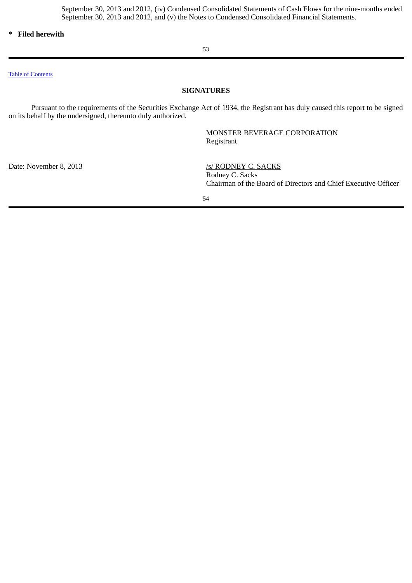September 30, 2013 and 2012, (iv) Condensed Consolidated Statements of Cash Flows for the nine-months ended September 30, 2013 and 2012, and (v) the Notes to Condensed Consolidated Financial Statements.

## **\* Filed herewith**

Table of [Contents](#page-0-0)

## <span id="page-35-0"></span>**SIGNATURES**

Pursuant to the requirements of the Securities Exchange Act of 1934, the Registrant has duly caused this report to be signed on its behalf by the undersigned, thereunto duly authorized.

> MONSTER BEVERAGE CORPORATION Registrant

Rodney C. Sacks Chairman of the Board of Directors and Chief Executive Officer

54

Date: November 8, 2013 /s/ RODNEY C. SACKS

53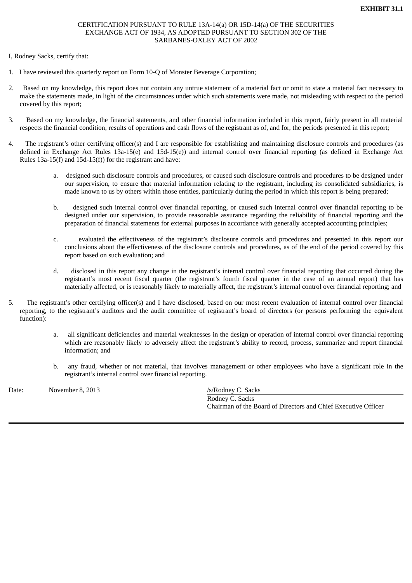### CERTIFICATION PURSUANT TO RULE 13A-14(a) OR 15D-14(a) OF THE SECURITIES EXCHANGE ACT OF 1934, AS ADOPTED PURSUANT TO SECTION 302 OF THE SARBANES-OXLEY ACT OF 2002

### I, Rodney Sacks, certify that:

- 1. I have reviewed this quarterly report on Form 10-Q of Monster Beverage Corporation;
- 2. Based on my knowledge, this report does not contain any untrue statement of a material fact or omit to state a material fact necessary to make the statements made, in light of the circumstances under which such statements were made, not misleading with respect to the period covered by this report;
- 3. Based on my knowledge, the financial statements, and other financial information included in this report, fairly present in all material respects the financial condition, results of operations and cash flows of the registrant as of, and for, the periods presented in this report;
- 4. The registrant's other certifying officer(s) and I are responsible for establishing and maintaining disclosure controls and procedures (as defined in Exchange Act Rules 13a-15(e) and 15d-15(e)) and internal control over financial reporting (as defined in Exchange Act Rules 13a-15(f) and 15d-15(f)) for the registrant and have:
	- a. designed such disclosure controls and procedures, or caused such disclosure controls and procedures to be designed under our supervision, to ensure that material information relating to the registrant, including its consolidated subsidiaries, is made known to us by others within those entities, particularly during the period in which this report is being prepared;
	- b. designed such internal control over financial reporting, or caused such internal control over financial reporting to be designed under our supervision, to provide reasonable assurance regarding the reliability of financial reporting and the preparation of financial statements for external purposes in accordance with generally accepted accounting principles;
	- c. evaluated the effectiveness of the registrant's disclosure controls and procedures and presented in this report our conclusions about the effectiveness of the disclosure controls and procedures, as of the end of the period covered by this report based on such evaluation; and
	- d. disclosed in this report any change in the registrant's internal control over financial reporting that occurred during the registrant's most recent fiscal quarter (the registrant's fourth fiscal quarter in the case of an annual report) that has materially affected, or is reasonably likely to materially affect, the registrant's internal control over financial reporting; and
- 5. The registrant's other certifying officer(s) and I have disclosed, based on our most recent evaluation of internal control over financial reporting, to the registrant's auditors and the audit committee of registrant's board of directors (or persons performing the equivalent function):
	- a. all significant deficiencies and material weaknesses in the design or operation of internal control over financial reporting which are reasonably likely to adversely affect the registrant's ability to record, process, summarize and report financial information; and
	- b. any fraud, whether or not material, that involves management or other employees who have a significant role in the registrant's internal control over financial reporting.

Date: November 8, 2013 /s/Rodney C. Sacks

Rodney C. Sacks Chairman of the Board of Directors and Chief Executive Officer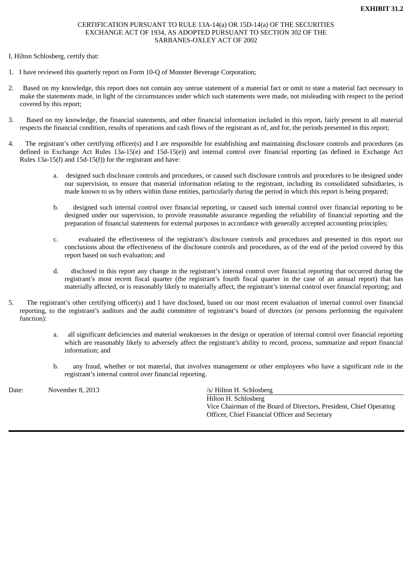### CERTIFICATION PURSUANT TO RULE 13A-14(a) OR 15D-14(a) OF THE SECURITIES EXCHANGE ACT OF 1934, AS ADOPTED PURSUANT TO SECTION 302 OF THE SARBANES-OXLEY ACT OF 2002

I, Hilton Schlosberg, certify that:

- 1. I have reviewed this quarterly report on Form 10-Q of Monster Beverage Corporation;
- 2. Based on my knowledge, this report does not contain any untrue statement of a material fact or omit to state a material fact necessary to make the statements made, in light of the circumstances under which such statements were made, not misleading with respect to the period covered by this report;
- 3. Based on my knowledge, the financial statements, and other financial information included in this report, fairly present in all material respects the financial condition, results of operations and cash flows of the registrant as of, and for, the periods presented in this report;
- 4. The registrant's other certifying officer(s) and I are responsible for establishing and maintaining disclosure controls and procedures (as defined in Exchange Act Rules 13a-15(e) and 15d-15(e)) and internal control over financial reporting (as defined in Exchange Act Rules 13a-15(f) and 15d-15(f)) for the registrant and have:
	- a. designed such disclosure controls and procedures, or caused such disclosure controls and procedures to be designed under our supervision, to ensure that material information relating to the registrant, including its consolidated subsidiaries, is made known to us by others within those entities, particularly during the period in which this report is being prepared;
	- b. designed such internal control over financial reporting, or caused such internal control over financial reporting to be designed under our supervision, to provide reasonable assurance regarding the reliability of financial reporting and the preparation of financial statements for external purposes in accordance with generally accepted accounting principles;
	- c. evaluated the effectiveness of the registrant's disclosure controls and procedures and presented in this report our conclusions about the effectiveness of the disclosure controls and procedures, as of the end of the period covered by this report based on such evaluation; and
	- d. disclosed in this report any change in the registrant's internal control over financial reporting that occurred during the registrant's most recent fiscal quarter (the registrant's fourth fiscal quarter in the case of an annual report) that has materially affected, or is reasonably likely to materially affect, the registrant's internal control over financial reporting; and
- 5. The registrant's other certifying officer(s) and I have disclosed, based on our most recent evaluation of internal control over financial reporting, to the registrant's auditors and the audit committee of registrant's board of directors (or persons performing the equivalent function):
	- a. all significant deficiencies and material weaknesses in the design or operation of internal control over financial reporting which are reasonably likely to adversely affect the registrant's ability to record, process, summarize and report financial information; and
	- b. any fraud, whether or not material, that involves management or other employees who have a significant role in the registrant's internal control over financial reporting.

Date: November 8, 2013 /s/ Hilton H. Schlosberg

Hilton H. Schlosberg Vice Chairman of the Board of Directors, President, Chief Operating Officer, Chief Financial Officer and Secretary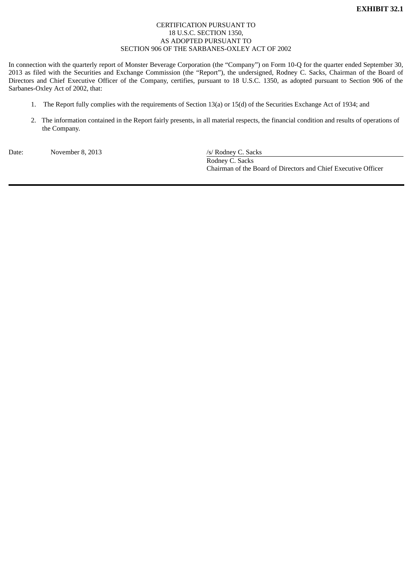### CERTIFICATION PURSUANT TO 18 U.S.C. SECTION 1350, AS ADOPTED PURSUANT TO SECTION 906 OF THE SARBANES-OXLEY ACT OF 2002

In connection with the quarterly report of Monster Beverage Corporation (the "Company") on Form 10-Q for the quarter ended September 30, 2013 as filed with the Securities and Exchange Commission (the "Report"), the undersigned, Rodney C. Sacks, Chairman of the Board of Directors and Chief Executive Officer of the Company, certifies, pursuant to 18 U.S.C. 1350, as adopted pursuant to Section 906 of the Sarbanes-Oxley Act of 2002, that:

- 1. The Report fully complies with the requirements of Section 13(a) or 15(d) of the Securities Exchange Act of 1934; and
- 2. The information contained in the Report fairly presents, in all material respects, the financial condition and results of operations of the Company.

Date: November 8, 2013 /s/ Rodney C. Sacks

Rodney C. Sacks Chairman of the Board of Directors and Chief Executive Officer